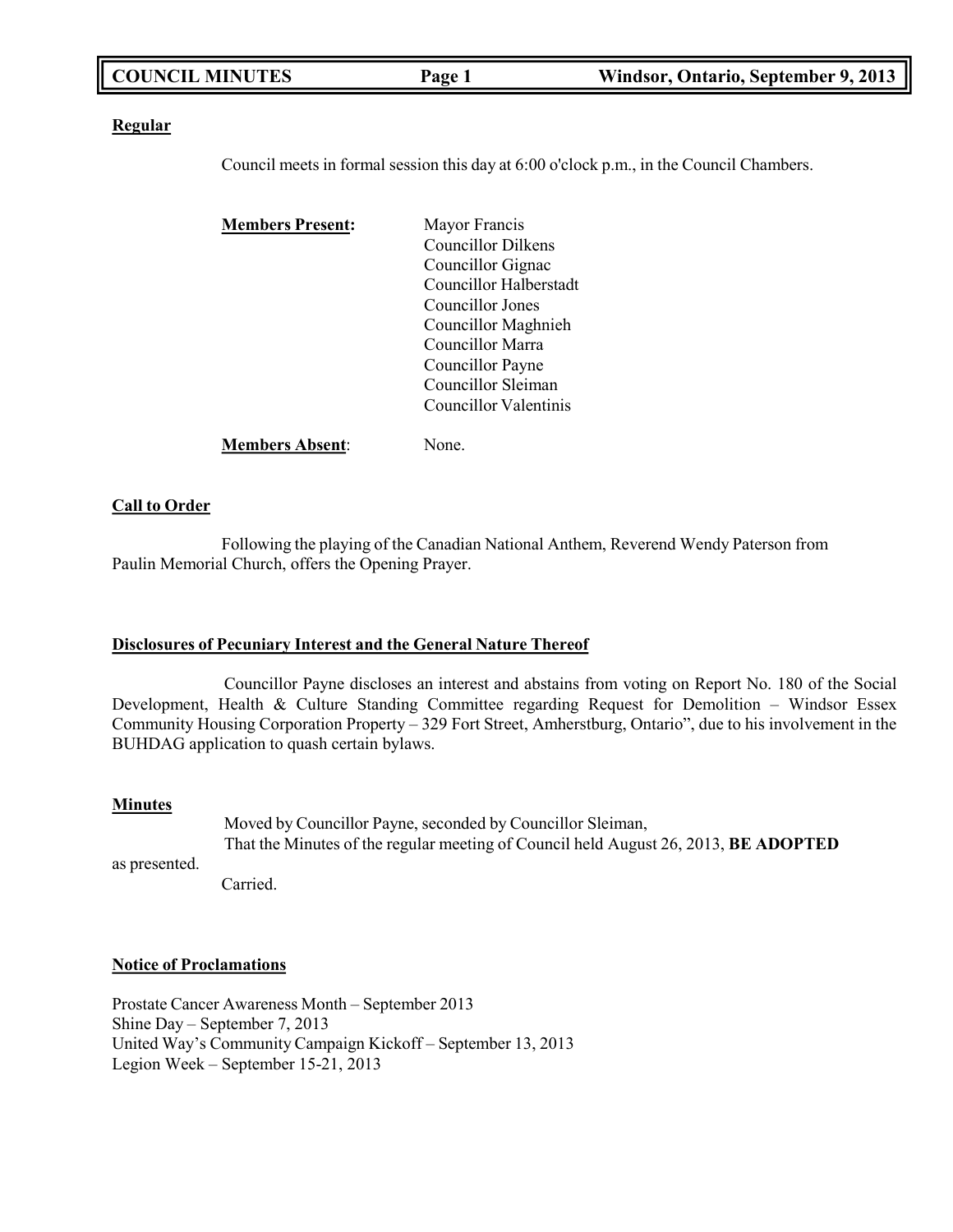| <b>COUNCIL MINUTES</b> | Page 1 | Windsor, Ontario, September 9, 2013 |
|------------------------|--------|-------------------------------------|
|                        |        |                                     |

### **Regular**

Council meets in formal session this day at 6:00 o'clock p.m., in the Council Chambers.

| <b>Members Present:</b> | Mayor Francis          |
|-------------------------|------------------------|
|                         | Councillor Dilkens     |
|                         | Councillor Gignac      |
|                         | Councillor Halberstadt |
|                         | Councillor Jones       |
|                         | Councillor Maghnieh    |
|                         | Councillor Marra       |
|                         | Councillor Payne       |
|                         | Councillor Sleiman     |
|                         | Councillor Valentinis  |
| <b>Members Absent:</b>  | None.                  |

### **Call to Order**

Following the playing of the Canadian National Anthem, Reverend Wendy Paterson from Paulin Memorial Church, offers the Opening Prayer.

### **Disclosures of Pecuniary Interest and the General Nature Thereof**

Councillor Payne discloses an interest and abstains from voting on Report No. 180 of the Social Development, Health & Culture Standing Committee regarding Request for Demolition – Windsor Essex Community Housing Corporation Property – 329 Fort Street, Amherstburg, Ontario", due to his involvement in the BUHDAG application to quash certain bylaws.

### **Minutes**

as presented.

Moved by Councillor Payne, seconded by Councillor Sleiman, That the Minutes of the regular meeting of Council held August 26, 2013, **BE ADOPTED**

Carried.

### **Notice of Proclamations**

Prostate Cancer Awareness Month – September 2013 Shine Day – September 7, 2013 United Way's Community Campaign Kickoff – September 13, 2013 Legion Week – September 15-21, 2013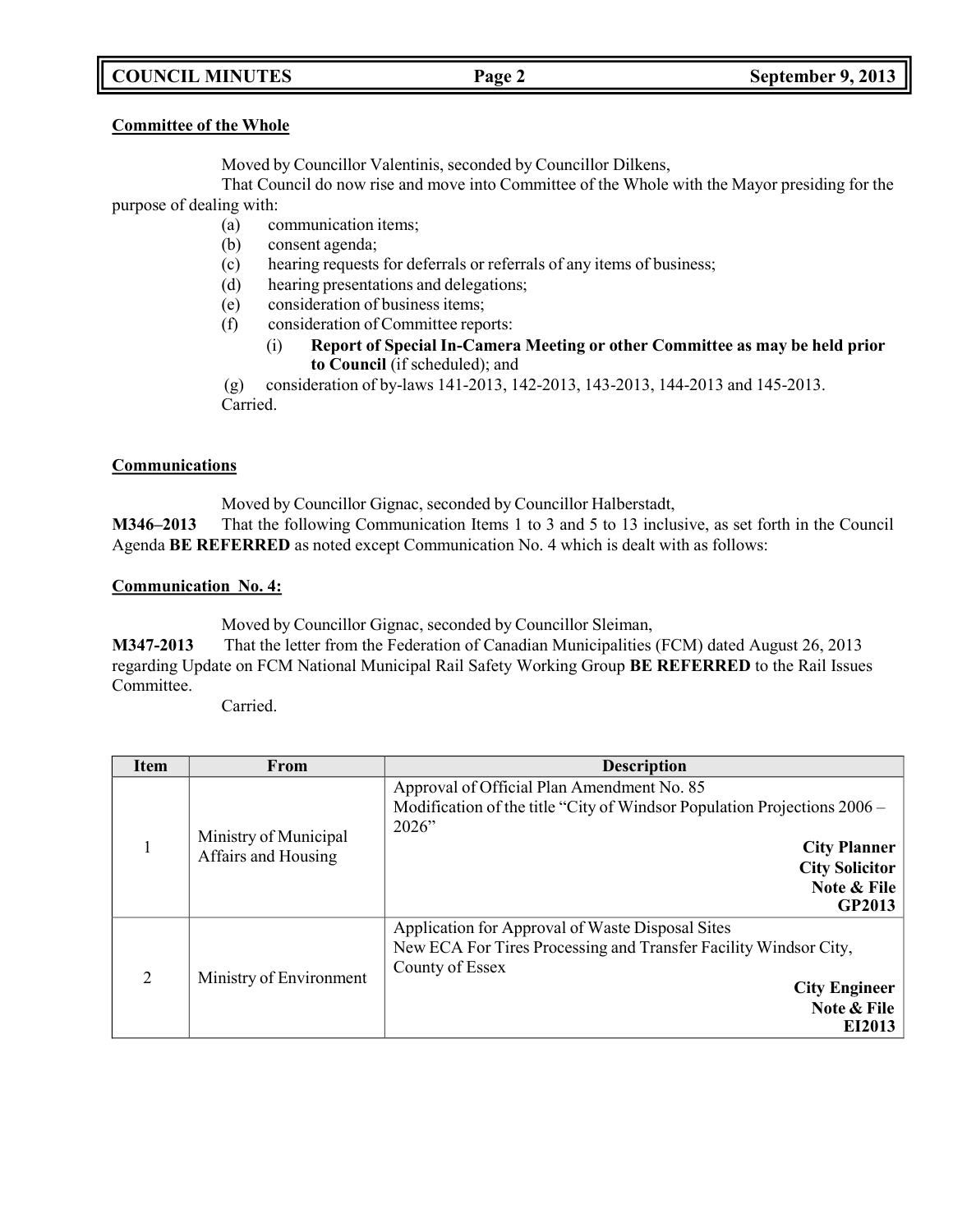# **COUNCIL MINUTES Page 2 September 9, 2013**

### **Committee of the Whole**

Moved by Councillor Valentinis, seconded by Councillor Dilkens,

That Council do now rise and move into Committee of the Whole with the Mayor presiding for the purpose of dealing with:

- (a) communication items;
- (b) consent agenda;
- (c) hearing requests for deferrals or referrals of any items of business;
- (d) hearing presentations and delegations;
- (e) consideration of business items;
- (f) consideration of Committee reports:
	- (i) **Report of Special In-Camera Meeting or other Committee as may be held prior to Council** (if scheduled); and

(g) consideration of by-laws 141-2013, 142-2013, 143-2013, 144-2013 and 145-2013. Carried.

# **Communications**

Moved by Councillor Gignac, seconded by Councillor Halberstadt,

**M346–2013** That the following Communication Items 1 to 3 and 5 to 13 inclusive, as set forth in the Council Agenda **BE REFERRED** as noted except Communication No. 4 which is dealt with as follows:

### **Communication No. 4:**

Moved by Councillor Gignac, seconded by Councillor Sleiman,

**M347-2013** That the letter from the Federation of Canadian Municipalities (FCM) dated August 26, 2013 regarding Update on FCM National Municipal Rail Safety Working Group **BE REFERRED** to the Rail Issues Committee.

Carried.

| <b>Item</b>    | From                                         | <b>Description</b>                                                                                                                                                                                         |
|----------------|----------------------------------------------|------------------------------------------------------------------------------------------------------------------------------------------------------------------------------------------------------------|
|                | Ministry of Municipal<br>Affairs and Housing | Approval of Official Plan Amendment No. 85<br>Modification of the title "City of Windsor Population Projections $2006 -$<br>2026"<br><b>City Planner</b><br><b>City Solicitor</b><br>Note & File<br>GP2013 |
| $\overline{2}$ | Ministry of Environment                      | Application for Approval of Waste Disposal Sites<br>New ECA For Tires Processing and Transfer Facility Windsor City,<br>County of Essex<br><b>City Engineer</b><br>Note & File<br>EI2013                   |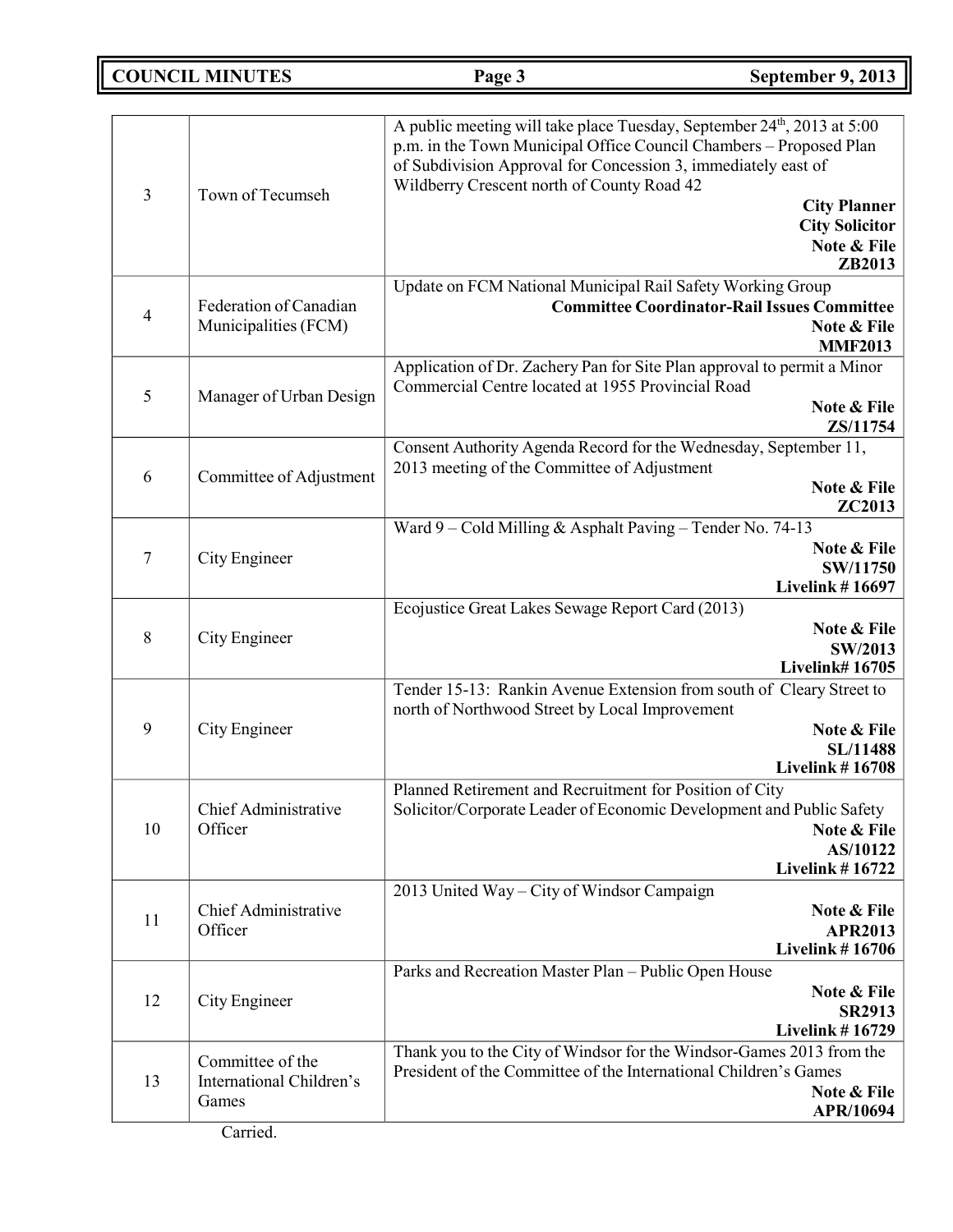**COUNCIL MINUTES Page 3 September 9, 2013**

| 3              | Town of Tecumseh                                      | A public meeting will take place Tuesday, September 24 <sup>th</sup> , 2013 at 5:00<br>p.m. in the Town Municipal Office Council Chambers - Proposed Plan<br>of Subdivision Approval for Concession 3, immediately east of<br>Wildberry Crescent north of County Road 42<br><b>City Planner</b><br><b>City Solicitor</b><br>Note & File<br>ZB2013 |
|----------------|-------------------------------------------------------|---------------------------------------------------------------------------------------------------------------------------------------------------------------------------------------------------------------------------------------------------------------------------------------------------------------------------------------------------|
| $\overline{4}$ | Federation of Canadian<br>Municipalities (FCM)        | Update on FCM National Municipal Rail Safety Working Group<br><b>Committee Coordinator-Rail Issues Committee</b><br>Note & File<br><b>MMF2013</b>                                                                                                                                                                                                 |
| 5              | Manager of Urban Design                               | Application of Dr. Zachery Pan for Site Plan approval to permit a Minor<br>Commercial Centre located at 1955 Provincial Road<br>Note & File<br>ZS/11754                                                                                                                                                                                           |
| 6              | Committee of Adjustment                               | Consent Authority Agenda Record for the Wednesday, September 11,<br>2013 meeting of the Committee of Adjustment<br>Note & File<br>ZC2013                                                                                                                                                                                                          |
| 7              | City Engineer                                         | Ward $9 -$ Cold Milling & Asphalt Paving - Tender No. 74-13<br>Note & File<br>SW/11750<br><b>Livelink #16697</b>                                                                                                                                                                                                                                  |
| 8              | City Engineer                                         | Ecojustice Great Lakes Sewage Report Card (2013)<br>Note & File<br>SW/2013<br><b>Livelink#16705</b>                                                                                                                                                                                                                                               |
| 9              | City Engineer                                         | Tender 15-13: Rankin Avenue Extension from south of Cleary Street to<br>north of Northwood Street by Local Improvement<br>Note & File<br><b>SL/11488</b><br><b>Livelink #16708</b>                                                                                                                                                                |
| 10             | Chief Administrative<br>Officer                       | Planned Retirement and Recruitment for Position of City<br>Solicitor/Corporate Leader of Economic Development and Public Safety<br>Note & File<br>AS/10122<br><b>Livelink #16722</b>                                                                                                                                                              |
| 11             | Chief Administrative<br>Officer                       | 2013 United Way - City of Windsor Campaign<br>Note & File<br><b>APR2013</b><br><b>Livelink #16706</b>                                                                                                                                                                                                                                             |
| 12             | City Engineer                                         | Parks and Recreation Master Plan - Public Open House<br>Note & File<br><b>SR2913</b><br><b>Livelink #16729</b>                                                                                                                                                                                                                                    |
| 13             | Committee of the<br>International Children's<br>Games | Thank you to the City of Windsor for the Windsor-Games 2013 from the<br>President of the Committee of the International Children's Games<br>Note & File<br>APR/10694                                                                                                                                                                              |
|                |                                                       |                                                                                                                                                                                                                                                                                                                                                   |

Carried.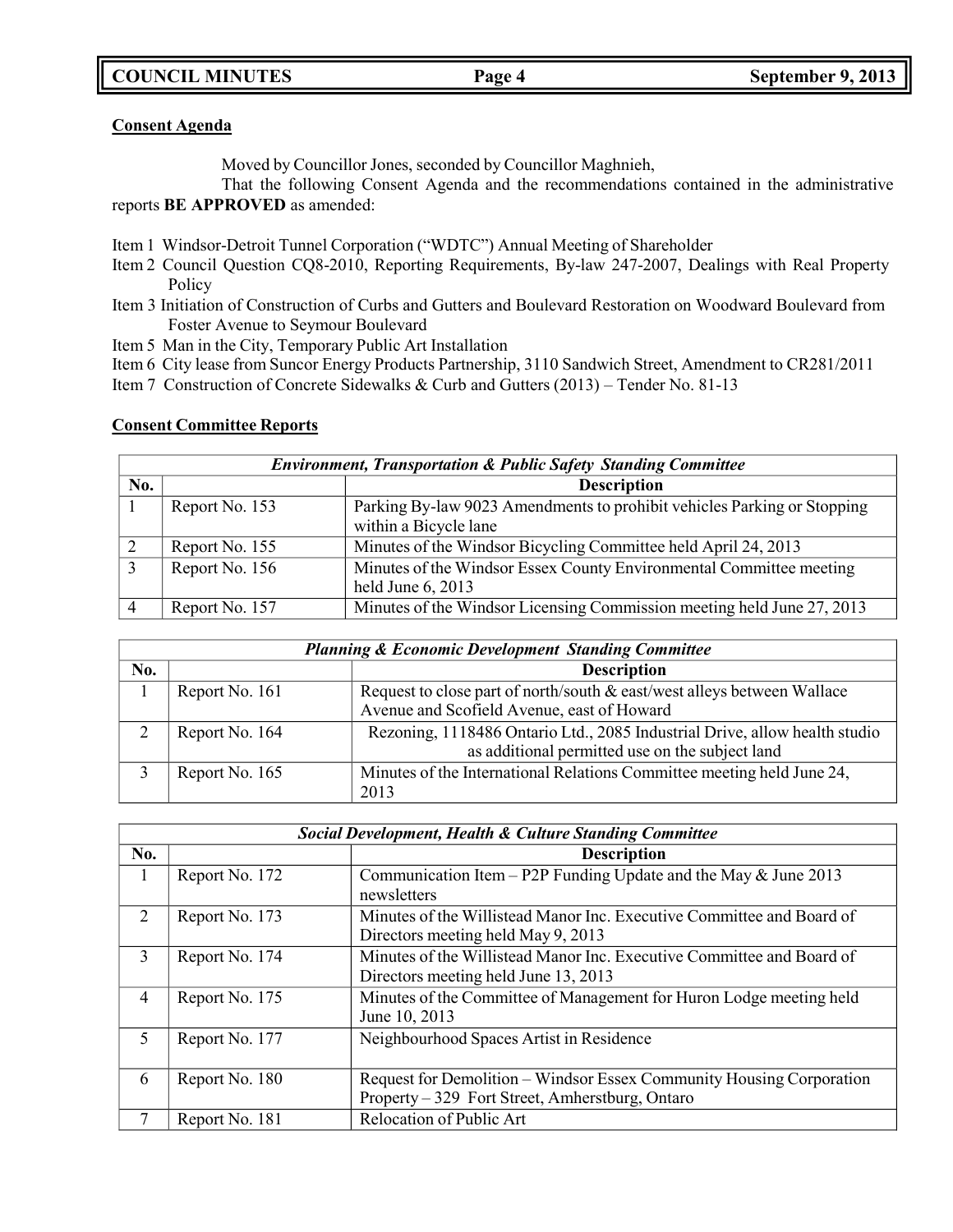**COUNCIL MINUTES Page 4 September 9, 2013**

# **Consent Agenda**

Moved by Councillor Jones, seconded by Councillor Maghnieh,

That the following Consent Agenda and the recommendations contained in the administrative reports **BE APPROVED** as amended:

Item 1 Windsor-Detroit Tunnel Corporation ("WDTC") Annual Meeting of Shareholder

- Item 2 Council Question CQ8-2010, Reporting Requirements, By-law 247-2007, Dealings with Real Property Policy
- Item 3 Initiation of Construction of Curbs and Gutters and Boulevard Restoration on Woodward Boulevard from Foster Avenue to Seymour Boulevard
- Item 5 Man in the City, Temporary Public Art Installation
- Item 6 City lease from Suncor Energy Products Partnership, 3110 Sandwich Street, Amendment to CR281/2011
- Item 7 Construction of Concrete Sidewalks & Curb and Gutters (2013) Tender No. 81-13

# **Consent Committee Reports**

|     | <b>Environment, Transportation &amp; Public Safety Standing Committee</b> |                                                                                                  |  |  |
|-----|---------------------------------------------------------------------------|--------------------------------------------------------------------------------------------------|--|--|
| No. |                                                                           | <b>Description</b>                                                                               |  |  |
|     | Report No. 153                                                            | Parking By-law 9023 Amendments to prohibit vehicles Parking or Stopping<br>within a Bicycle lane |  |  |
|     | Report No. 155                                                            | Minutes of the Windsor Bicycling Committee held April 24, 2013                                   |  |  |
|     | Report No. 156                                                            | Minutes of the Windsor Essex County Environmental Committee meeting<br>held June 6, 2013         |  |  |
|     | Report No. 157                                                            | Minutes of the Windsor Licensing Commission meeting held June 27, 2013                           |  |  |

| <b>Planning &amp; Economic Development Standing Committee</b> |                |                                                                            |  |
|---------------------------------------------------------------|----------------|----------------------------------------------------------------------------|--|
| No.                                                           |                | <b>Description</b>                                                         |  |
|                                                               | Report No. 161 | Request to close part of north/south & east/west alleys between Wallace    |  |
|                                                               |                | Avenue and Scofield Avenue, east of Howard                                 |  |
|                                                               | Report No. 164 | Rezoning, 1118486 Ontario Ltd., 2085 Industrial Drive, allow health studio |  |
|                                                               |                | as additional permitted use on the subject land                            |  |
|                                                               | Report No. 165 | Minutes of the International Relations Committee meeting held June 24,     |  |
|                                                               |                | 2013                                                                       |  |

|                | <b>Social Development, Health &amp; Culture Standing Committee</b> |                                                                                                                         |  |
|----------------|--------------------------------------------------------------------|-------------------------------------------------------------------------------------------------------------------------|--|
| No.            |                                                                    | <b>Description</b>                                                                                                      |  |
| $\mathbf{I}$   | Report No. 172                                                     | Communication Item - P2P Funding Update and the May & June 2013<br>newsletters                                          |  |
| 2              | Report No. 173                                                     | Minutes of the Willistead Manor Inc. Executive Committee and Board of<br>Directors meeting held May 9, 2013             |  |
| 3              | Report No. 174                                                     | Minutes of the Willistead Manor Inc. Executive Committee and Board of<br>Directors meeting held June 13, 2013           |  |
| $\overline{4}$ | Report No. 175                                                     | Minutes of the Committee of Management for Huron Lodge meeting held<br>June 10, 2013                                    |  |
| 5              | Report No. 177                                                     | Neighbourhood Spaces Artist in Residence                                                                                |  |
| 6              | Report No. 180                                                     | Request for Demolition – Windsor Essex Community Housing Corporation<br>Property – 329 Fort Street, Amherstburg, Ontaro |  |
|                | Report No. 181                                                     | Relocation of Public Art                                                                                                |  |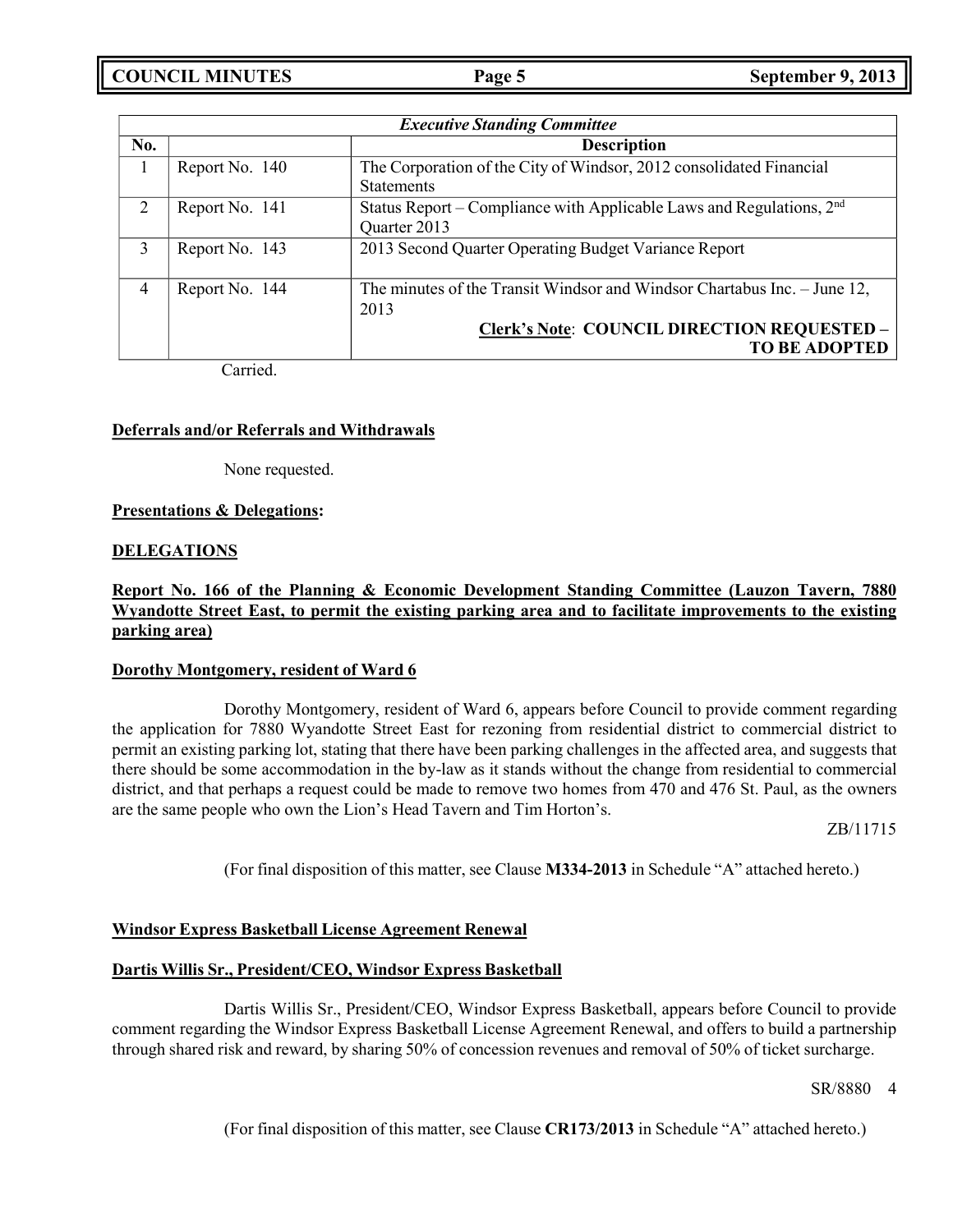**COUNCIL MINUTES Page 5 September 9, 2013**

|                | <b>Executive Standing Committee</b> |                                                                                                                                                                |  |
|----------------|-------------------------------------|----------------------------------------------------------------------------------------------------------------------------------------------------------------|--|
| No.            |                                     | <b>Description</b>                                                                                                                                             |  |
|                | Report No. 140                      | The Corporation of the City of Windsor, 2012 consolidated Financial<br><b>Statements</b>                                                                       |  |
| $\overline{2}$ | Report No. 141                      | Status Report – Compliance with Applicable Laws and Regulations, $2nd$<br>Quarter 2013                                                                         |  |
| 3              | Report No. 143                      | 2013 Second Quarter Operating Budget Variance Report                                                                                                           |  |
| 4              | Report No. 144                      | The minutes of the Transit Windsor and Windsor Chartabus Inc. – June 12,<br>2013<br><b>Clerk's Note: COUNCIL DIRECTION REQUESTED -</b><br><b>TO BE ADOPTED</b> |  |

Carried.

### **Deferrals and/or Referrals and Withdrawals**

None requested.

### **Presentations & Delegations:**

### **DELEGATIONS**

# **Report No. 166 of the Planning & Economic Development Standing Committee (Lauzon Tavern, 7880 Wyandotte Street East, to permit the existing parking area and to facilitate improvements to the existing parking area)**

### **Dorothy Montgomery, resident of Ward 6**

Dorothy Montgomery, resident of Ward 6, appears before Council to provide comment regarding the application for 7880 Wyandotte Street East for rezoning from residential district to commercial district to permit an existing parking lot, stating that there have been parking challenges in the affected area, and suggests that there should be some accommodation in the by-law as it stands without the change from residential to commercial district, and that perhaps a request could be made to remove two homes from 470 and 476 St. Paul, as the owners are the same people who own the Lion's Head Tavern and Tim Horton's.

ZB/11715

(For final disposition of this matter, see Clause **M334-2013** in Schedule "A" attached hereto.)

### **Windsor Express Basketball License Agreement Renewal**

### **Dartis Willis Sr., President/CEO, Windsor Express Basketball**

Dartis Willis Sr., President/CEO, Windsor Express Basketball, appears before Council to provide comment regarding the Windsor Express Basketball License Agreement Renewal, and offers to build a partnership through shared risk and reward, by sharing 50% of concession revenues and removal of 50% of ticket surcharge.

SR/8880 4

(For final disposition of this matter, see Clause **CR173/2013** in Schedule "A" attached hereto.)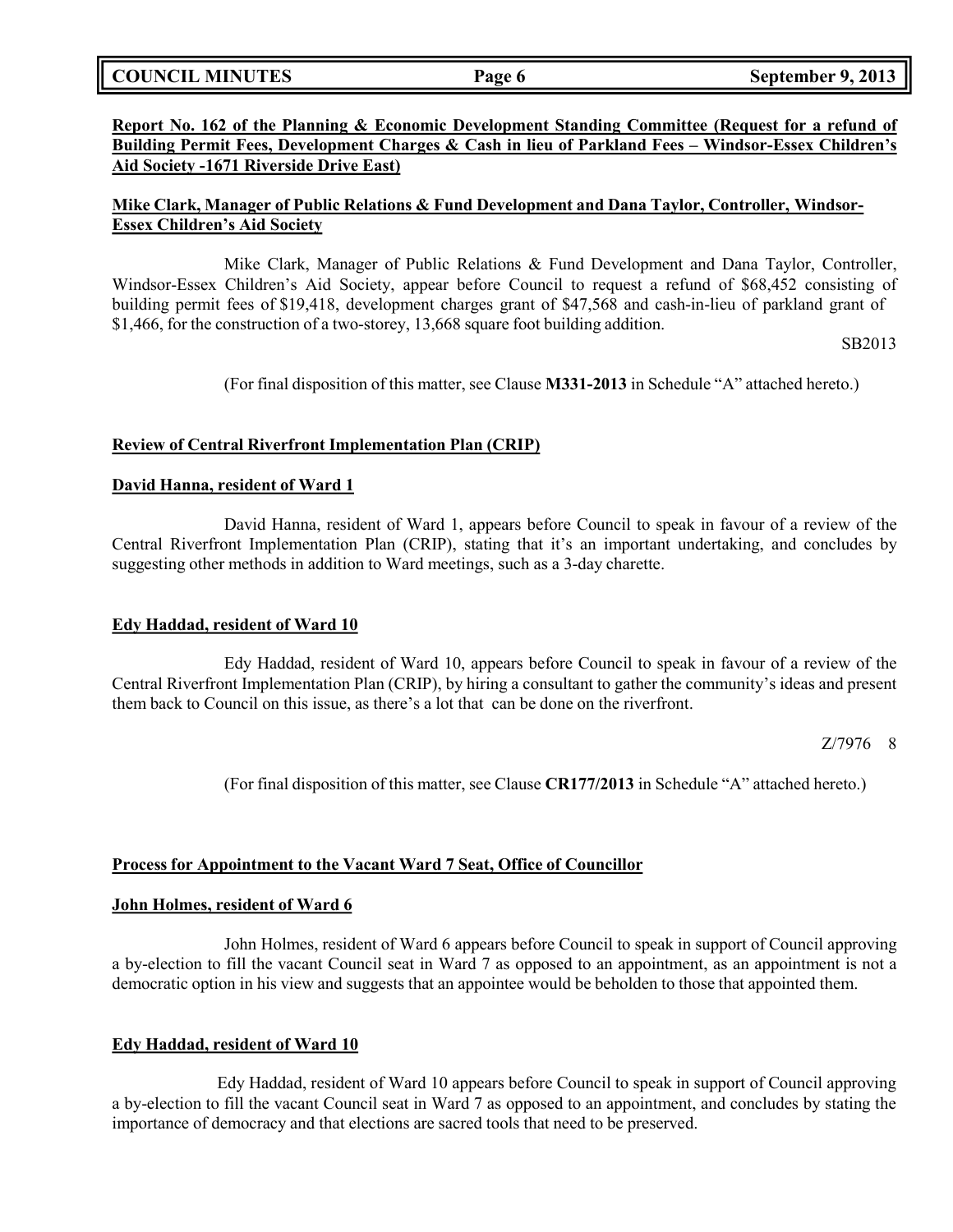**COUNCIL MINUTES Page 6 September 9, 2013**

# **Report No. 162 of the Planning & Economic Development Standing Committee (Request for a refund of Building Permit Fees, Development Charges & Cash in lieu of Parkland Fees – Windsor-Essex Children's Aid Society -1671 Riverside Drive East)**

# **Mike Clark, Manager of Public Relations & Fund Development and Dana Taylor, Controller, Windsor-Essex Children's Aid Society**

Mike Clark, Manager of Public Relations & Fund Development and Dana Taylor, Controller, Windsor-Essex Children's Aid Society, appear before Council to request a refund of \$68,452 consisting of building permit fees of \$19,418, development charges grant of \$47,568 and cash-in-lieu of parkland grant of \$1,466, for the construction of a two-storey, 13,668 square foot building addition.

SB2013

(For final disposition of this matter, see Clause **M331-2013** in Schedule "A" attached hereto.)

# **Review of Central Riverfront Implementation Plan (CRIP)**

# **David Hanna, resident of Ward 1**

David Hanna, resident of Ward 1, appears before Council to speak in favour of a review of the Central Riverfront Implementation Plan (CRIP), stating that it's an important undertaking, and concludes by suggesting other methods in addition to Ward meetings, such as a 3-day charette.

# **Edy Haddad, resident of Ward 10**

Edy Haddad, resident of Ward 10, appears before Council to speak in favour of a review of the Central Riverfront Implementation Plan (CRIP), by hiring a consultant to gather the community's ideas and present them back to Council on this issue, as there's a lot that can be done on the riverfront.

Z/7976 8

(For final disposition of this matter, see Clause **CR177/2013** in Schedule "A" attached hereto.)

# **Process for Appointment to the Vacant Ward 7 Seat, Office of Councillor**

### **John Holmes, resident of Ward 6**

John Holmes, resident of Ward 6 appears before Council to speak in support of Council approving a by-election to fill the vacant Council seat in Ward 7 as opposed to an appointment, as an appointment is not a democratic option in his view and suggests that an appointee would be beholden to those that appointed them.

# **Edy Haddad, resident of Ward 10**

Edy Haddad, resident of Ward 10 appears before Council to speak in support of Council approving a by-election to fill the vacant Council seat in Ward 7 as opposed to an appointment, and concludes by stating the importance of democracy and that elections are sacred tools that need to be preserved.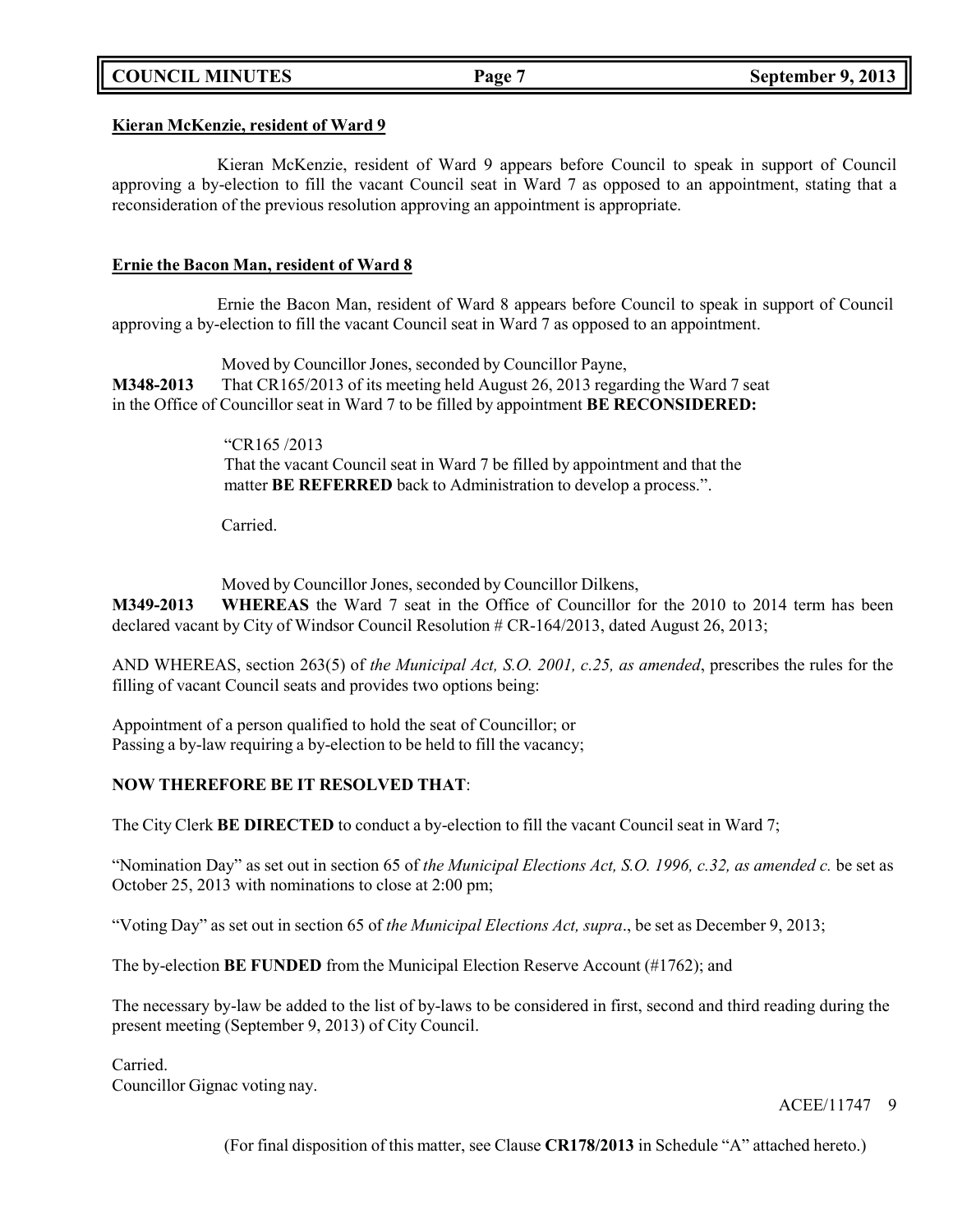# **COUNCIL MINUTES Page 7 September 9, 2013**

### **Kieran McKenzie, resident of Ward 9**

Kieran McKenzie, resident of Ward 9 appears before Council to speak in support of Council approving a by-election to fill the vacant Council seat in Ward 7 as opposed to an appointment, stating that a reconsideration of the previous resolution approving an appointment is appropriate.

### **Ernie the Bacon Man, resident of Ward 8**

Ernie the Bacon Man, resident of Ward 8 appears before Council to speak in support of Council approving a by-election to fill the vacant Council seat in Ward 7 as opposed to an appointment.

Moved by Councillor Jones, seconded by Councillor Payne, **M348-2013** That CR165/2013 of its meeting held August 26, 2013 regarding the Ward 7 seat in the Office of Councillor seat in Ward 7 to be filled by appointment **BE RECONSIDERED:**

> "CR165 /2013 That the vacant Council seat in Ward 7 be filled by appointment and that the matter **BE REFERRED** back to Administration to develop a process.".

Carried.

Moved by Councillor Jones, seconded by Councillor Dilkens,

**M349-2013 WHEREAS** the Ward 7 seat in the Office of Councillor for the 2010 to 2014 term has been declared vacant by City of Windsor Council Resolution # CR-164/2013, dated August 26, 2013;

AND WHEREAS, section 263(5) of *the Municipal Act, S.O. 2001, c.25, as amended*, prescribes the rules for the filling of vacant Council seats and provides two options being:

Appointment of a person qualified to hold the seat of Councillor; or Passing a by-law requiring a by-election to be held to fill the vacancy;

# **NOW THEREFORE BE IT RESOLVED THAT**:

The City Clerk **BE DIRECTED** to conduct a by-election to fill the vacant Council seat in Ward 7;

"Nomination Day" as set out in section 65 of *the Municipal Elections Act, S.O. 1996, c.32, as amended c.* be set as October 25, 2013 with nominations to close at 2:00 pm;

"Voting Day" as set out in section 65 of *the Municipal Elections Act, supra*., be set as December 9, 2013;

The by-election **BE FUNDED** from the Municipal Election Reserve Account (#1762); and

The necessary by-law be added to the list of by-laws to be considered in first, second and third reading during the present meeting (September 9, 2013) of City Council.

Carried. Councillor Gignac voting nay.

ACEE/11747 9

(For final disposition of this matter, see Clause **CR178/2013** in Schedule "A" attached hereto.)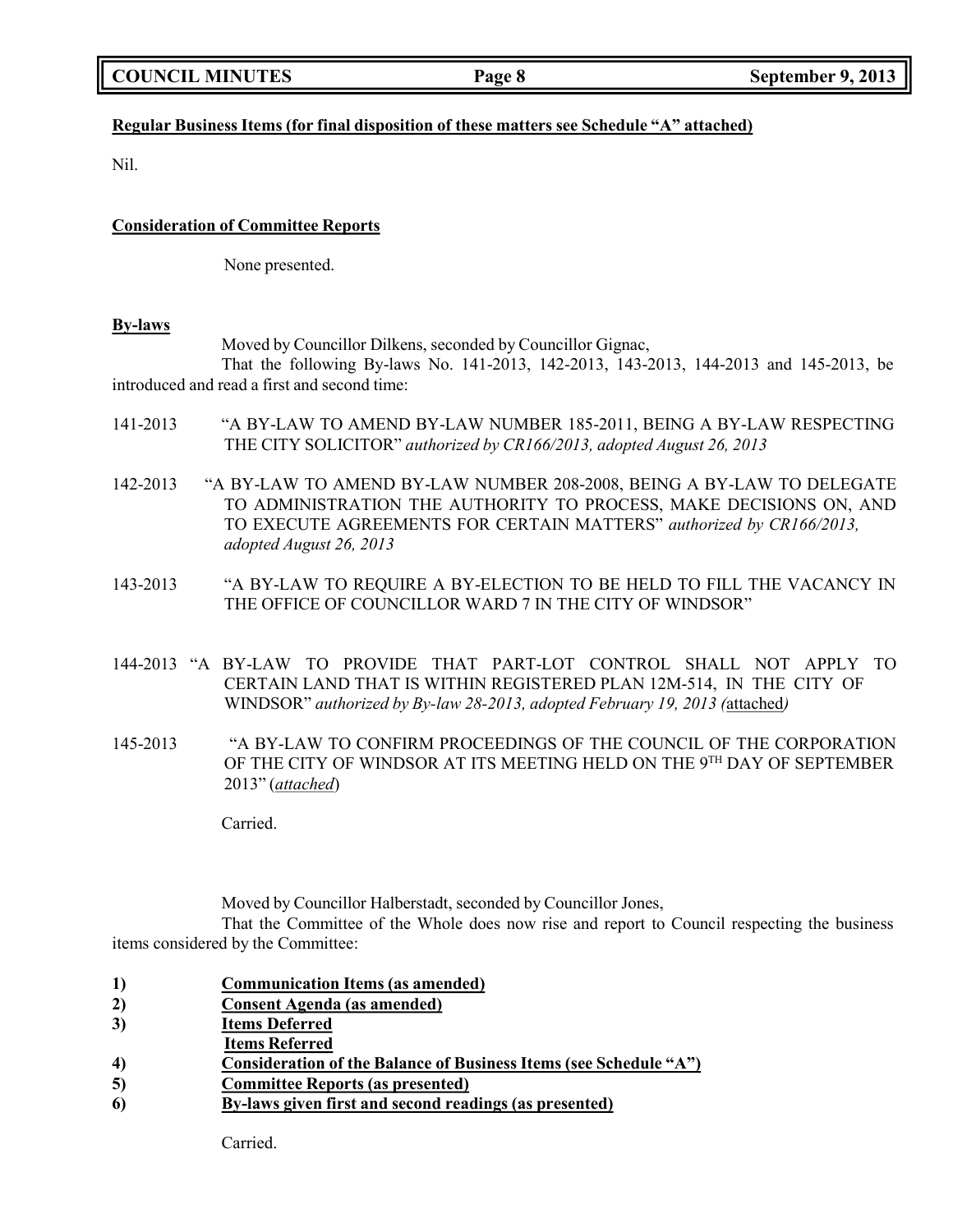# **Regular Business Items (for final disposition of these matters see Schedule "A" attached)**

Nil.

### **Consideration of Committee Reports**

None presented.

### **By-laws**

Moved by Councillor Dilkens, seconded by Councillor Gignac,

That the following By-laws No. 141-2013, 142-2013, 143-2013, 144-2013 and 145-2013, be introduced and read a first and second time:

- 141-2013 "A BY-LAW TO AMEND BY-LAW NUMBER 185-2011, BEING A BY-LAW RESPECTING THE CITY SOLICITOR" *authorized by CR166/2013, adopted August 26, 2013*
- 142-2013 "A BY-LAW TO AMEND BY-LAW NUMBER 208-2008, BEING A BY-LAW TO DELEGATE TO ADMINISTRATION THE AUTHORITY TO PROCESS, MAKE DECISIONS ON, AND TO EXECUTE AGREEMENTS FOR CERTAIN MATTERS" *authorized by CR166/2013, adopted August 26, 2013*
- 143-2013 "A BY-LAW TO REQUIRE A BY-ELECTION TO BE HELD TO FILL THE VACANCY IN THE OFFICE OF COUNCILLOR WARD 7 IN THE CITY OF WINDSOR"
- 144-2013 "A BY-LAW TO PROVIDE THAT PART-LOT CONTROL SHALL NOT APPLY TO CERTAIN LAND THAT IS WITHIN REGISTERED PLAN 12M-514, IN THE CITY OF WINDSOR" *authorized by By-law 28-2013, adopted February 19, 2013 (*attached*)*
- 145-2013 "A BY-LAW TO CONFIRM PROCEEDINGS OF THE COUNCIL OF THE CORPORATION OF THE CITY OF WINDSOR AT ITS MEETING HELD ON THE 9TH DAY OF SEPTEMBER 2013" (*attached*)

Carried.

Moved by Councillor Halberstadt, seconded by Councillor Jones,

That the Committee of the Whole does now rise and report to Council respecting the business items considered by the Committee:

- **1) Communication Items (as amended)**
- **2) Consent Agenda (as amended)**
- **3) Items Deferred**
- **Items Referred**
- **4) Consideration of the Balance of Business Items (see Schedule "A")**
- **5) Committee Reports (as presented)**
- **6) By-laws given first and second readings (as presented)**

Carried.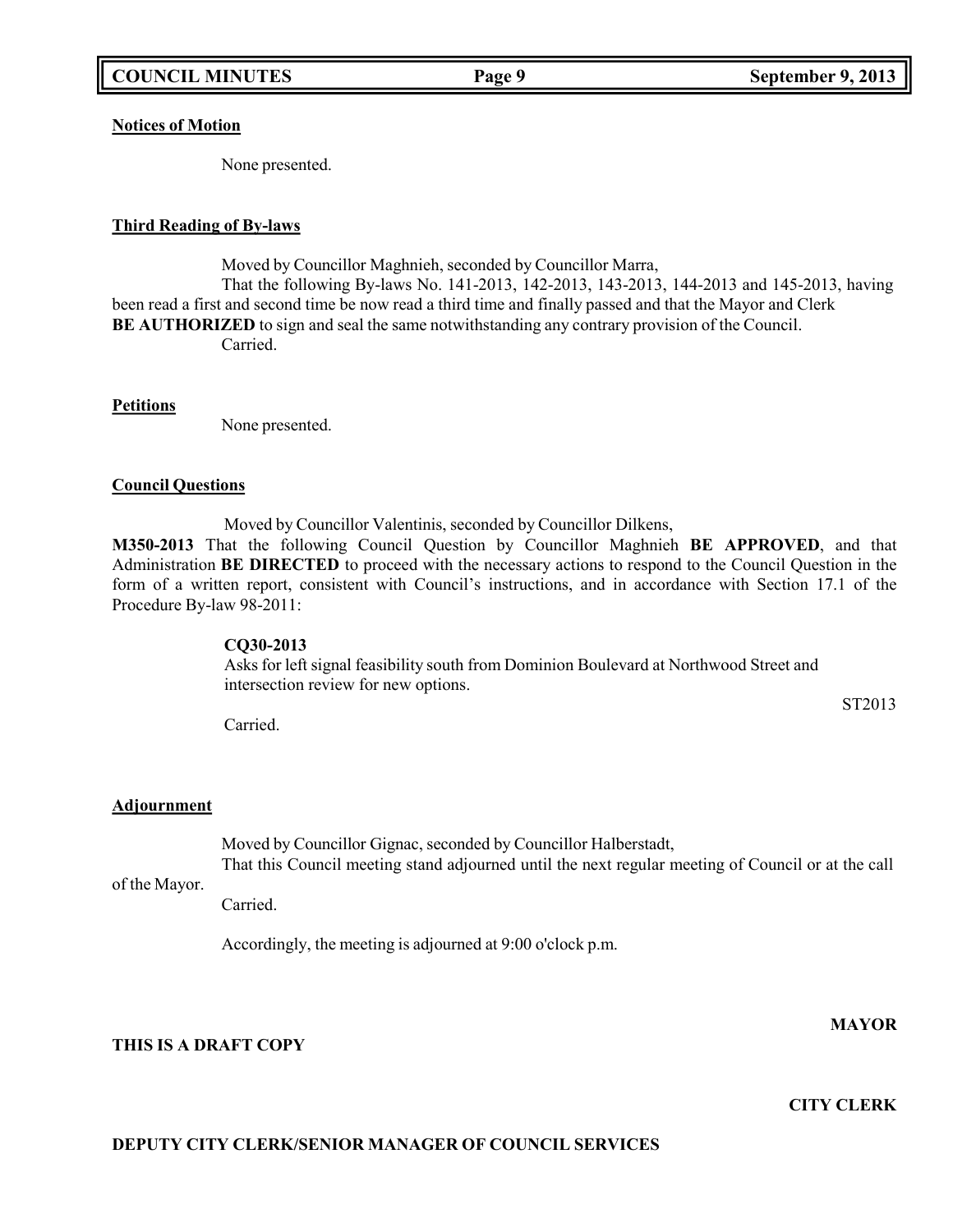**Notices of Motion**

None presented.

### **Third Reading of By-laws**

Moved by Councillor Maghnieh, seconded by Councillor Marra, That the following By-laws No. 141-2013, 142-2013, 143-2013, 144-2013 and 145-2013, having been read a first and second time be now read a third time and finally passed and that the Mayor and Clerk **BE AUTHORIZED** to sign and seal the same notwithstanding any contrary provision of the Council. Carried.

**Petitions**

None presented.

### **Council Questions**

Moved by Councillor Valentinis, seconded by Councillor Dilkens,

**M350-2013** That the following Council Question by Councillor Maghnieh **BE APPROVED**, and that Administration **BE DIRECTED** to proceed with the necessary actions to respond to the Council Question in the form of a written report, consistent with Council's instructions, and in accordance with Section 17.1 of the Procedure By-law 98-2011:

### **CQ30-2013**

Asks for left signal feasibility south from Dominion Boulevard at Northwood Street and intersection review for new options.

Carried.

# **Adjournment**

Moved by Councillor Gignac, seconded by Councillor Halberstadt, That this Council meeting stand adjourned until the next regular meeting of Council or at the call

of the Mayor.

Carried.

Accordingly, the meeting is adjourned at 9:00 o'clock p.m.

**MAYOR**

**THIS IS A DRAFT COPY**

**CITY CLERK**

# **DEPUTY CITY CLERK/SENIOR MANAGER OF COUNCIL SERVICES**

ST2013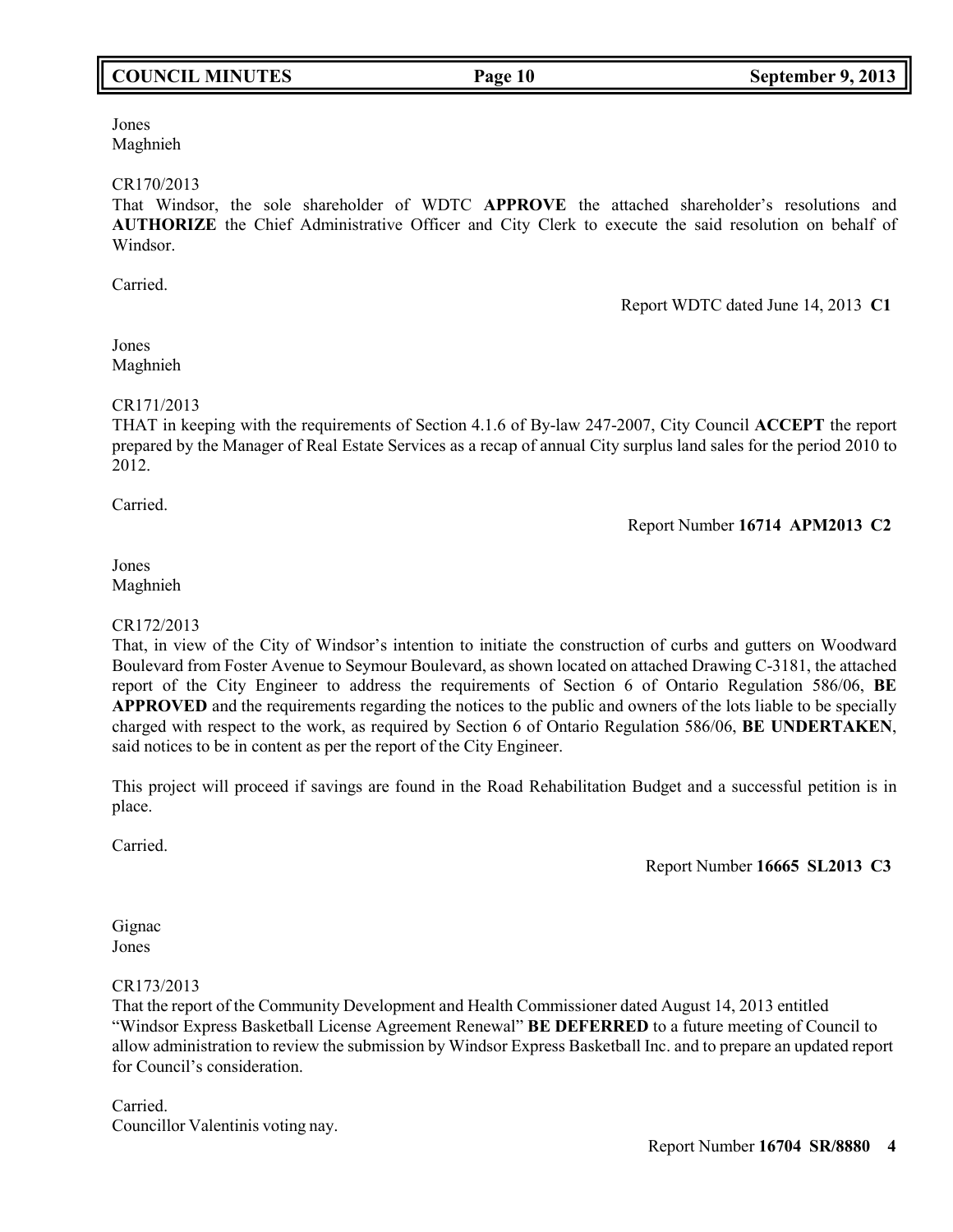# **COUNCIL MINUTES Page 10 September 9, 2013**

Jones Maghnieh

### CR170/2013

That Windsor, the sole shareholder of WDTC **APPROVE** the attached shareholder's resolutions and **AUTHORIZE** the Chief Administrative Officer and City Clerk to execute the said resolution on behalf of Windsor.

Carried.

Report WDTC dated June 14, 2013 **C1**

# Jones Maghnieh

# CR171/2013

THAT in keeping with the requirements of Section 4.1.6 of By-law 247-2007, City Council **ACCEPT** the report prepared by the Manager of Real Estate Services as a recap of annual City surplus land sales for the period 2010 to 2012.

Carried.

Report Number **16714 APM2013 C2**

# Jones Maghnieh

# CR172/2013

That, in view of the City of Windsor's intention to initiate the construction of curbs and gutters on Woodward Boulevard from Foster Avenue to Seymour Boulevard, as shown located on attached Drawing C-3181, the attached report of the City Engineer to address the requirements of Section 6 of Ontario Regulation 586/06, **BE APPROVED** and the requirements regarding the notices to the public and owners of the lots liable to be specially charged with respect to the work, as required by Section 6 of Ontario Regulation 586/06, **BE UNDERTAKEN**, said notices to be in content as per the report of the City Engineer.

This project will proceed if savings are found in the Road Rehabilitation Budget and a successful petition is in place.

Carried.

Report Number **16665 SL2013 C3**

### Gignac Jones

# CR173/2013

That the report of the Community Development and Health Commissioner dated August 14, 2013 entitled "Windsor Express Basketball License Agreement Renewal" **BE DEFERRED** to a future meeting of Council to allow administration to review the submission by Windsor Express Basketball Inc. and to prepare an updated report for Council's consideration.

Carried. Councillor Valentinis voting nay.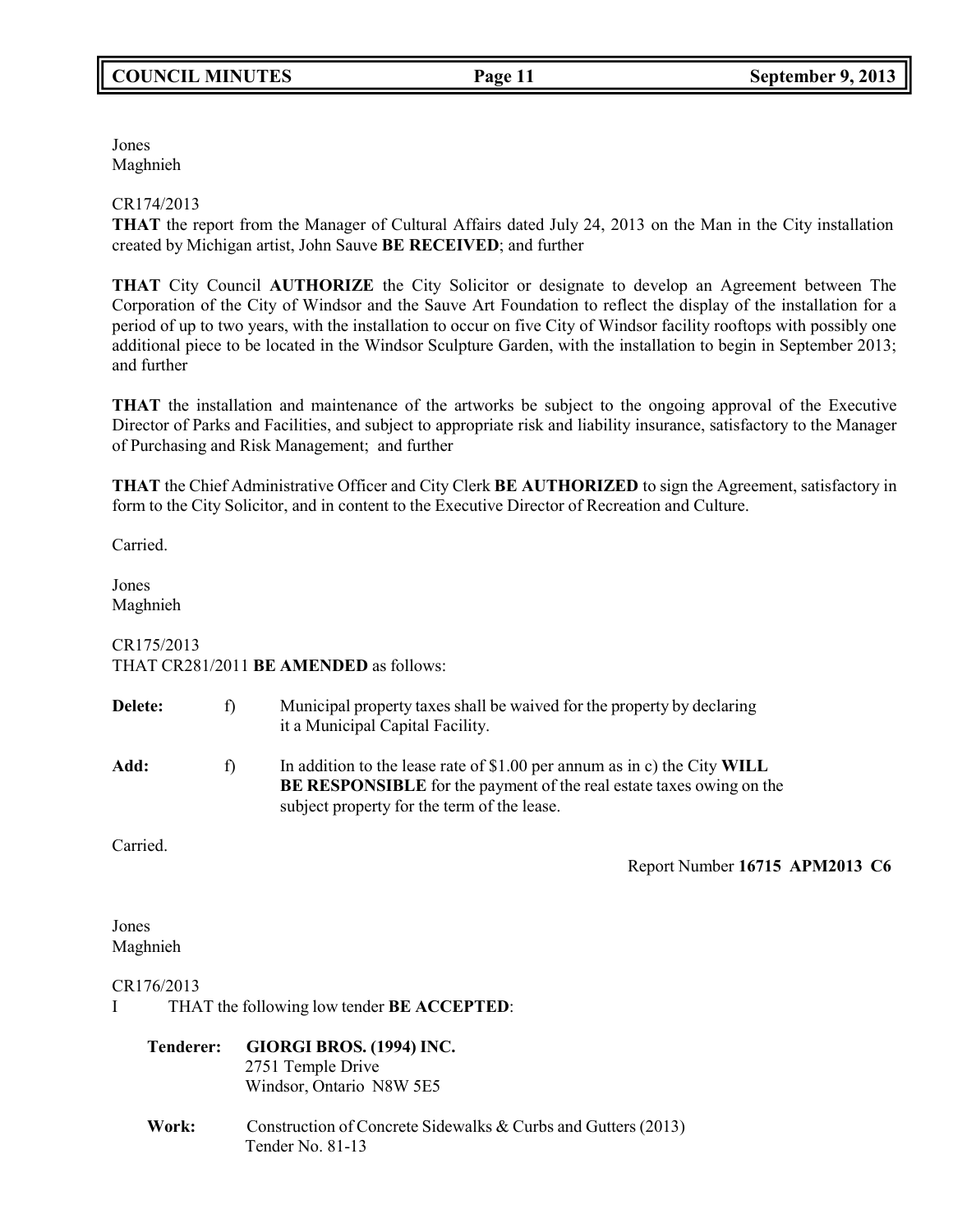Jones Maghnieh

# CR174/2013

**THAT** the report from the Manager of Cultural Affairs dated July 24, 2013 on the Man in the City installation created by Michigan artist, John Sauve **BE RECEIVED**; and further

**THAT** City Council **AUTHORIZE** the City Solicitor or designate to develop an Agreement between The Corporation of the City of Windsor and the Sauve Art Foundation to reflect the display of the installation for a period of up to two years, with the installation to occur on five City of Windsor facility rooftops with possibly one additional piece to be located in the Windsor Sculpture Garden, with the installation to begin in September 2013; and further

**THAT** the installation and maintenance of the artworks be subject to the ongoing approval of the Executive Director of Parks and Facilities, and subject to appropriate risk and liability insurance, satisfactory to the Manager of Purchasing and Risk Management; and further

**THAT** the Chief Administrative Officer and City Clerk **BE AUTHORIZED** to sign the Agreement, satisfactory in form to the City Solicitor, and in content to the Executive Director of Recreation and Culture.

Carried.

Jones Maghnieh

# CR175/2013 THAT CR281/2011 **BE AMENDED** as follows:

| <b>Delete:</b> | f | Municipal property taxes shall be waived for the property by declaring<br>it a Municipal Capital Facility.                                                                                             |
|----------------|---|--------------------------------------------------------------------------------------------------------------------------------------------------------------------------------------------------------|
| Add:           | f | In addition to the lease rate of \$1.00 per annum as in c) the City WILL<br><b>BE RESPONSIBLE</b> for the payment of the real estate taxes owing on the<br>subject property for the term of the lease. |

Carried.

Report Number **16715 APM2013 C6**

# Jones Maghnieh

# CR176/2013

I THAT the following low tender **BE ACCEPTED**:

# **Tenderer: GIORGI BROS. (1994) INC.**

2751 Temple Drive Windsor, Ontario N8W 5E5

**Work:** Construction of Concrete Sidewalks & Curbs and Gutters (2013) Tender No. 81-13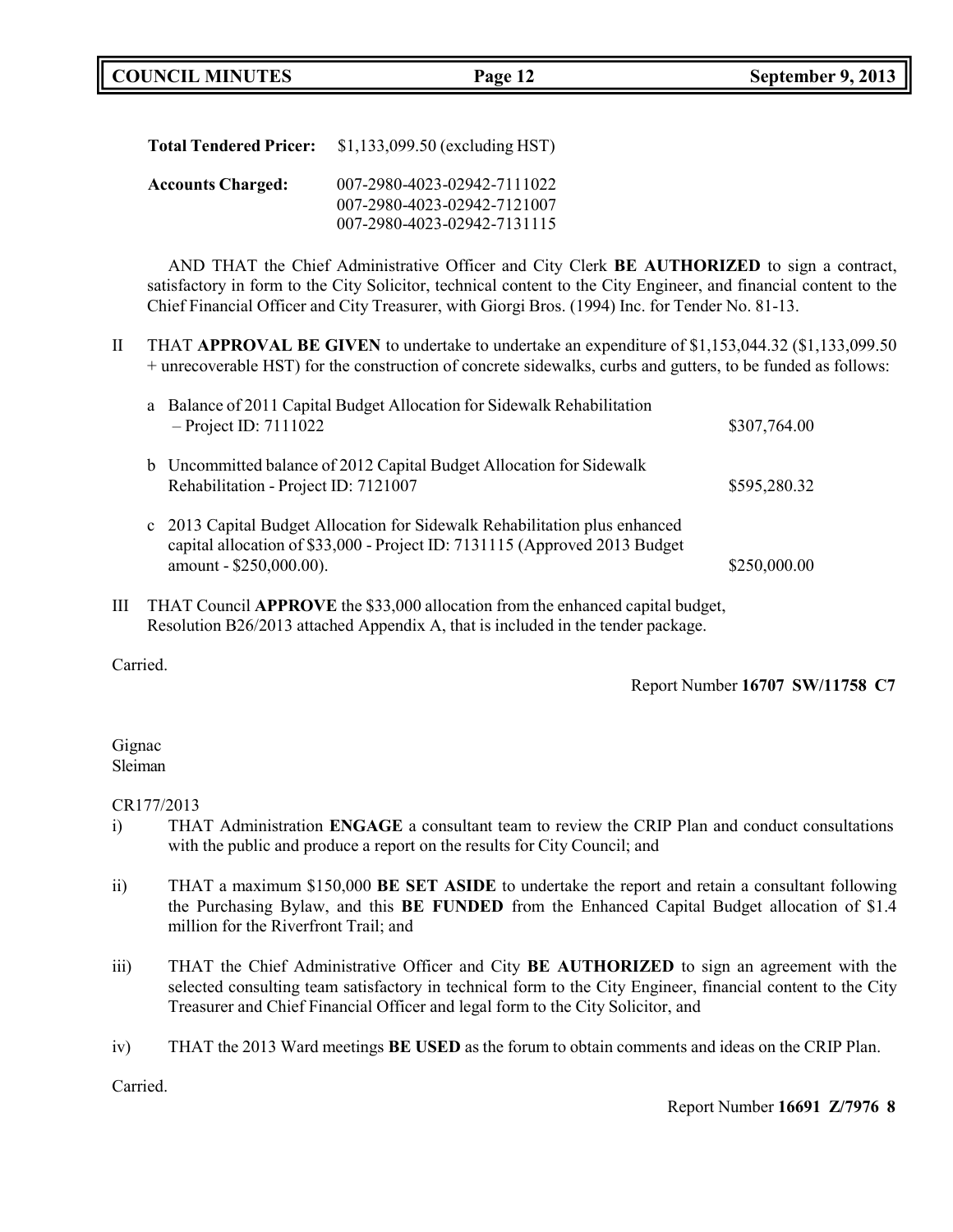| <b>Total Tendered Pricer:</b> | $$1,133,099.50$ (excluding HST)                                                           |
|-------------------------------|-------------------------------------------------------------------------------------------|
| <b>Accounts Charged:</b>      | 007-2980-4023-02942-7111022<br>007-2980-4023-02942-7121007<br>007-2980-4023-02942-7131115 |

AND THAT the Chief Administrative Officer and City Clerk **BE AUTHORIZED** to sign a contract, satisfactory in form to the City Solicitor, technical content to the City Engineer, and financial content to the Chief Financial Officer and City Treasurer, with Giorgi Bros. (1994) Inc. for Tender No. 81-13.

II THAT **APPROVAL BE GIVEN** to undertake to undertake an expenditure of \$1,153,044.32 (\$1,133,099.50 + unrecoverable HST) for the construction of concrete sidewalks, curbs and gutters, to be funded as follows:

|   |              | a Balance of 2011 Capital Budget Allocation for Sidewalk Rehabilitation<br>$-$ Project ID: 7111022                                                                                | \$307,764.00 |
|---|--------------|-----------------------------------------------------------------------------------------------------------------------------------------------------------------------------------|--------------|
|   |              | b Uncommitted balance of 2012 Capital Budget Allocation for Sidewalk<br>Rehabilitation - Project ID: 7121007                                                                      | \$595,280.32 |
|   | $\mathbf{c}$ | 2013 Capital Budget Allocation for Sidewalk Rehabilitation plus enhanced<br>capital allocation of \$33,000 - Project ID: 7131115 (Approved 2013 Budget<br>amount - \$250,000.00). | \$250,000.00 |
| Ш |              | THAT Council <b>APPROVE</b> the \$33,000 allocation from the enhanced capital budget,<br>Resolution B26/2013 attached Appendix A, that is included in the tender package.         |              |

Carried.

Report Number **16707 SW/11758 C7**

# Gignac Sleiman

CR177/2013

- i) THAT Administration **ENGAGE** a consultant team to review the CRIP Plan and conduct consultations with the public and produce a report on the results for City Council; and
- ii) THAT a maximum \$150,000 **BE SET ASIDE** to undertake the report and retain a consultant following the Purchasing Bylaw, and this **BE FUNDED** from the Enhanced Capital Budget allocation of \$1.4 million for the Riverfront Trail; and
- iii) THAT the Chief Administrative Officer and City **BE AUTHORIZED** to sign an agreement with the selected consulting team satisfactory in technical form to the City Engineer, financial content to the City Treasurer and Chief Financial Officer and legal form to the City Solicitor, and
- iv) THAT the 2013 Ward meetings **BE USED** as the forum to obtain comments and ideas on the CRIP Plan.

Carried.

Report Number **16691 Z/7976 8**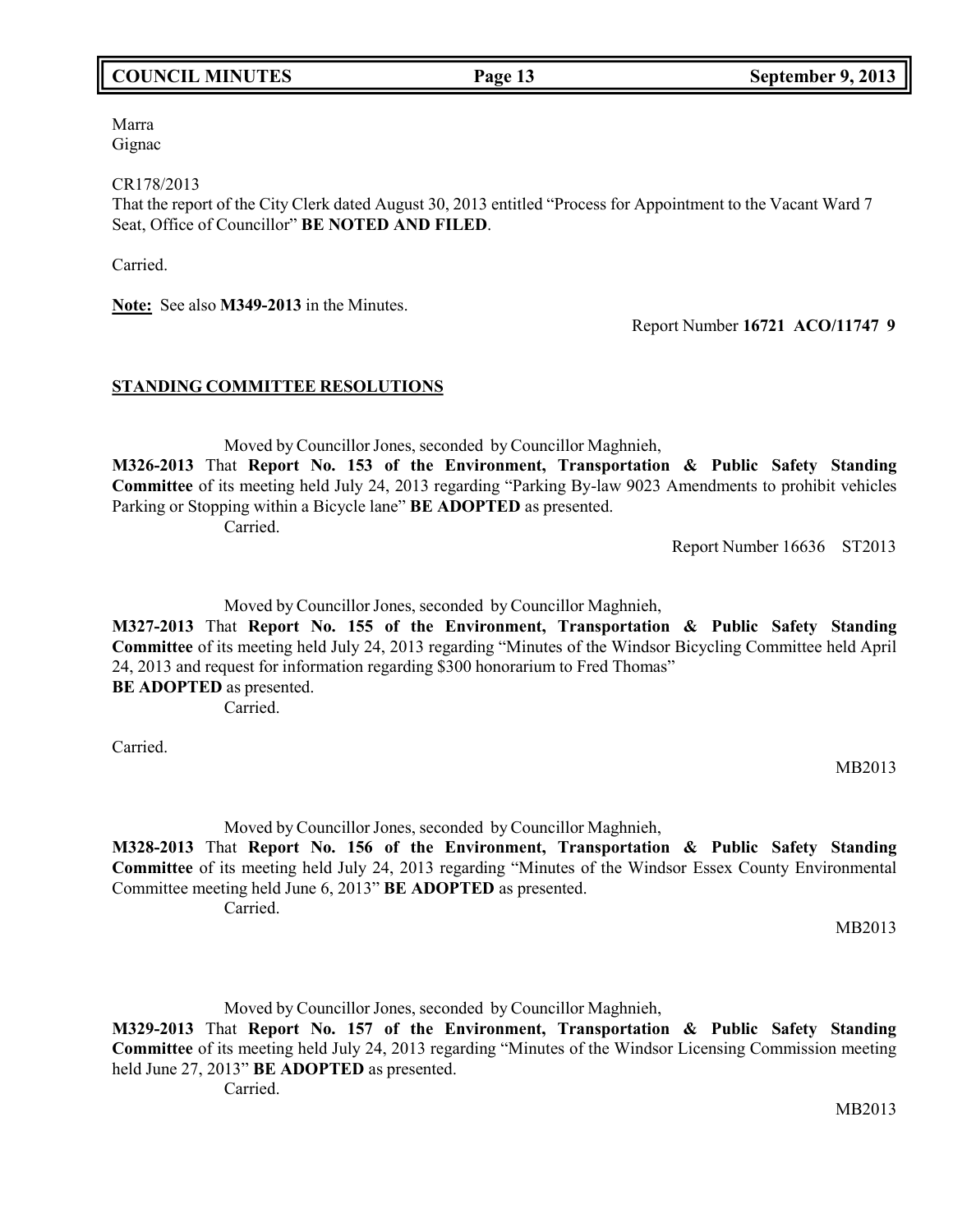# MB2013

Marra Gignac

CR178/2013

That the report of the City Clerk dated August 30, 2013 entitled "Process for Appointment to the Vacant Ward 7 Seat, Office of Councillor" **BE NOTED AND FILED**.

Carried.

**Note:** See also **M349-2013** in the Minutes.

Report Number **16721 ACO/11747 9**

### **STANDING COMMITTEE RESOLUTIONS**

Moved by Councillor Jones, seconded by Councillor Maghnieh,

**M326-2013** That **Report No. 153 of the Environment, Transportation & Public Safety Standing Committee** of its meeting held July 24, 2013 regarding "Parking By-law 9023 Amendments to prohibit vehicles Parking or Stopping within a Bicycle lane" **BE ADOPTED** as presented.

Carried.

Report Number 16636 ST2013

Moved by Councillor Jones, seconded by Councillor Maghnieh,

**M327-2013** That **Report No. 155 of the Environment, Transportation & Public Safety Standing Committee** of its meeting held July 24, 2013 regarding "Minutes of the Windsor Bicycling Committee held April 24, 2013 and request for information regarding \$300 honorarium to Fred Thomas" **BE ADOPTED** as presented.

Carried.

Carried.

Moved by Councillor Jones, seconded by Councillor Maghnieh,

**M328-2013** That **Report No. 156 of the Environment, Transportation & Public Safety Standing Committee** of its meeting held July 24, 2013 regarding "Minutes of the Windsor Essex County Environmental Committee meeting held June 6, 2013" **BE ADOPTED** as presented. Carried.

MB2013

MB2013

Moved by Councillor Jones, seconded by Councillor Maghnieh,

**M329-2013** That **Report No. 157 of the Environment, Transportation & Public Safety Standing Committee** of its meeting held July 24, 2013 regarding "Minutes of the Windsor Licensing Commission meeting held June 27, 2013" **BE ADOPTED** as presented.

Carried.

**COUNCIL MINUTES Page 13 September 9, 2013**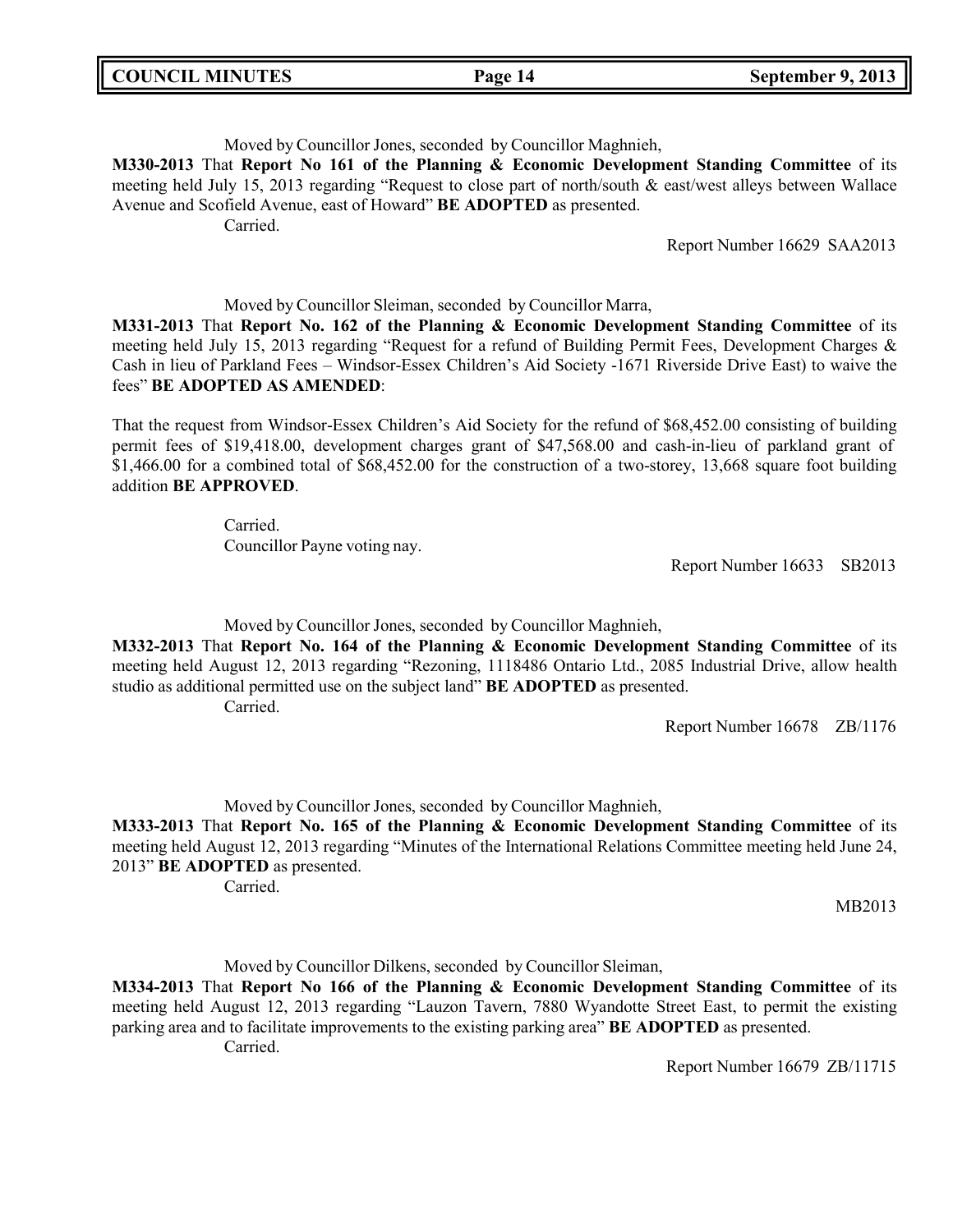| <b>COUNCIL MINUTES</b> |  |
|------------------------|--|
|------------------------|--|

# Moved by Councillor Jones, seconded by Councillor Maghnieh,

**M330-2013** That **Report No 161 of the Planning & Economic Development Standing Committee** of its meeting held July 15, 2013 regarding "Request to close part of north/south & east/west alleys between Wallace Avenue and Scofield Avenue, east of Howard" **BE ADOPTED** as presented.

Carried.

Report Number 16629 SAA2013

# Moved by Councillor Sleiman, seconded by Councillor Marra,

**M331-2013** That **Report No. 162 of the Planning & Economic Development Standing Committee** of its meeting held July 15, 2013 regarding "Request for a refund of Building Permit Fees, Development Charges & Cash in lieu of Parkland Fees – Windsor-Essex Children's Aid Society -1671 Riverside Drive East) to waive the fees" **BE ADOPTED AS AMENDED**:

That the request from Windsor-Essex Children's Aid Society for the refund of \$68,452.00 consisting of building permit fees of \$19,418.00, development charges grant of \$47,568.00 and cash-in-lieu of parkland grant of \$1,466.00 for a combined total of \$68,452.00 for the construction of a two-storey, 13,668 square foot building addition **BE APPROVED**.

> Carried. Councillor Payne voting nay.

Report Number 16633 SB2013

Moved by Councillor Jones, seconded by Councillor Maghnieh,

**M332-2013** That **Report No. 164 of the Planning & Economic Development Standing Committee** of its meeting held August 12, 2013 regarding "Rezoning, 1118486 Ontario Ltd., 2085 Industrial Drive, allow health studio as additional permitted use on the subject land" **BE ADOPTED** as presented. Carried.

Report Number 16678 ZB/1176

Moved by Councillor Jones, seconded by Councillor Maghnieh,

**M333-2013** That **Report No. 165 of the Planning & Economic Development Standing Committee** of its meeting held August 12, 2013 regarding "Minutes of the International Relations Committee meeting held June 24, 2013" **BE ADOPTED** as presented.

Carried.

MB2013

Moved by Councillor Dilkens, seconded by Councillor Sleiman,

**M334-2013** That **Report No 166 of the Planning & Economic Development Standing Committee** of its meeting held August 12, 2013 regarding "Lauzon Tavern, 7880 Wyandotte Street East, to permit the existing parking area and to facilitate improvements to the existing parking area" **BE ADOPTED** as presented. Carried.

Report Number 16679 ZB/11715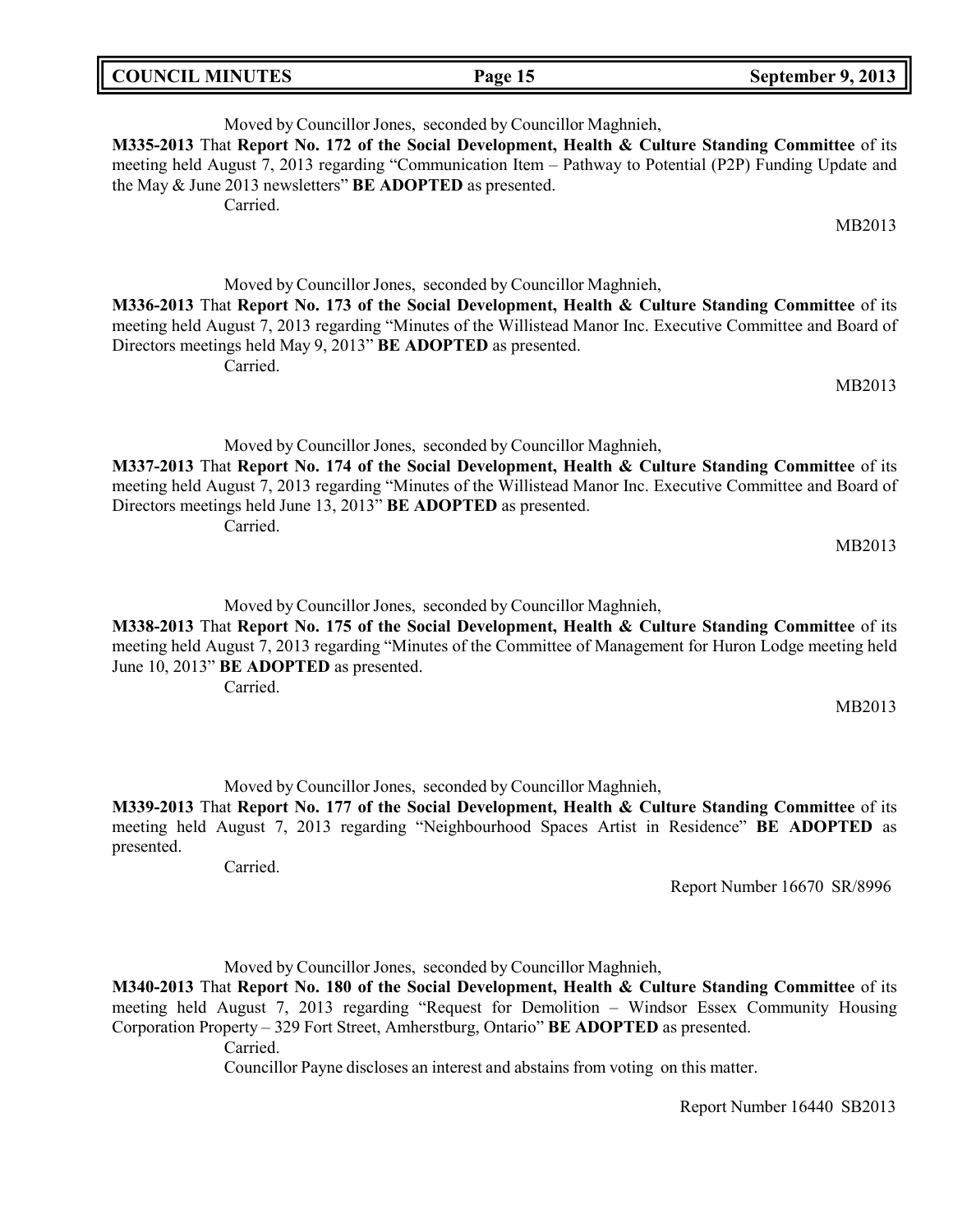| <b>COUNCIL MINUTES</b> | Page 15 | September 9, 2013 |
|------------------------|---------|-------------------|
|                        |         |                   |

Moved by Councillor Jones, seconded by Councillor Maghnieh, **M335-2013** That **Report No. 172 of the Social Development, Health & Culture Standing Committee** of its meeting held August 7, 2013 regarding "Communication Item – Pathway to Potential (P2P) Funding Update and the May & June 2013 newsletters" **BE ADOPTED** as presented. Carried.

Moved by Councillor Jones, seconded by Councillor Maghnieh, **M336-2013** That **Report No. 173 of the Social Development, Health & Culture Standing Committee** of its meeting held August 7, 2013 regarding "Minutes of the Willistead Manor Inc. Executive Committee and Board of Directors meetings held May 9, 2013" **BE ADOPTED** as presented. Carried.

MB2013

MB2013

MB2013

Moved by Councillor Jones, seconded by Councillor Maghnieh, **M337-2013** That **Report No. 174 of the Social Development, Health & Culture Standing Committee** of its meeting held August 7, 2013 regarding "Minutes of the Willistead Manor Inc. Executive Committee and Board of Directors meetings held June 13, 2013" **BE ADOPTED** as presented.

Carried.

Moved by Councillor Jones, seconded by Councillor Maghnieh,

**M338-2013** That **Report No. 175 of the Social Development, Health & Culture Standing Committee** of its meeting held August 7, 2013 regarding "Minutes of the Committee of Management for Huron Lodge meeting held June 10, 2013" **BE ADOPTED** as presented.

Carried.

MB2013

Moved by Councillor Jones, seconded by Councillor Maghnieh,

**M339-2013** That **Report No. 177 of the Social Development, Health & Culture Standing Committee** of its meeting held August 7, 2013 regarding "Neighbourhood Spaces Artist in Residence" **BE ADOPTED** as presented.

Carried.

Report Number 16670 SR/8996

Moved by Councillor Jones, seconded by Councillor Maghnieh,

**M340-2013** That **Report No. 180 of the Social Development, Health & Culture Standing Committee** of its meeting held August 7, 2013 regarding "Request for Demolition – Windsor Essex Community Housing Corporation Property – 329 Fort Street, Amherstburg, Ontario" **BE ADOPTED** as presented.

Carried.

Councillor Payne discloses an interest and abstains from voting on this matter.

Report Number 16440 SB2013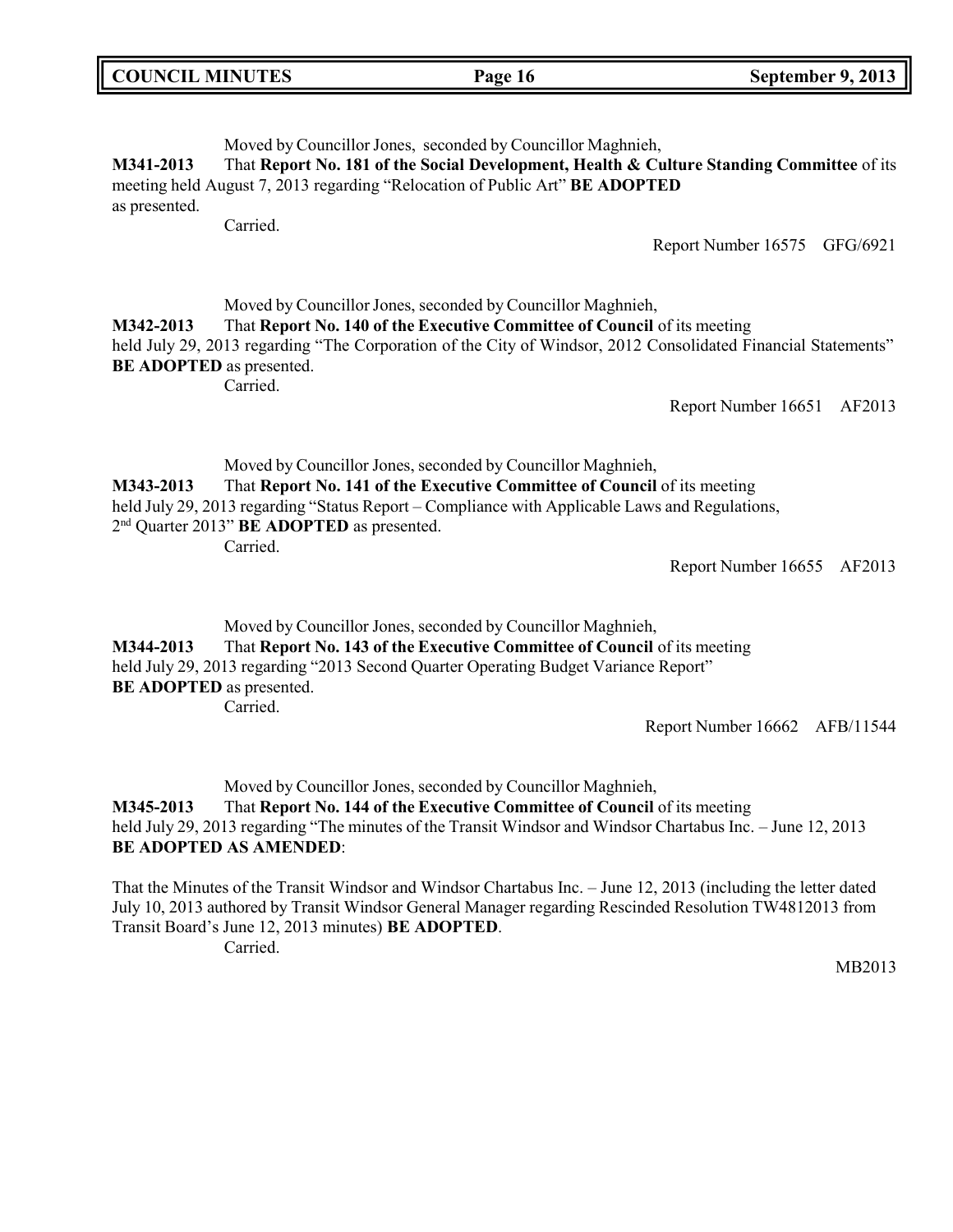| <b>COUNCIL MINUTES</b>                       |                                                                                                                                                                                                                                                                                                                        | Page 16 | September 9, 2013                                                                                                                              |
|----------------------------------------------|------------------------------------------------------------------------------------------------------------------------------------------------------------------------------------------------------------------------------------------------------------------------------------------------------------------------|---------|------------------------------------------------------------------------------------------------------------------------------------------------|
| M341-2013<br>as presented.                   | Moved by Councillor Jones, seconded by Councillor Maghnieh,<br>meeting held August 7, 2013 regarding "Relocation of Public Art" BE ADOPTED<br>Carried.                                                                                                                                                                 |         | That Report No. 181 of the Social Development, Health & Culture Standing Committee of its<br>Report Number 16575 GFG/6921                      |
| M342-2013<br><b>BE ADOPTED</b> as presented. | Moved by Councillor Jones, seconded by Councillor Maghnieh,<br>That Report No. 140 of the Executive Committee of Council of its meeting<br>Carried.                                                                                                                                                                    |         | held July 29, 2013 regarding "The Corporation of the City of Windsor, 2012 Consolidated Financial Statements"<br>Report Number 16651<br>AF2013 |
| M343-2013                                    | Moved by Councillor Jones, seconded by Councillor Maghnieh,<br>That Report No. 141 of the Executive Committee of Council of its meeting<br>held July 29, 2013 regarding "Status Report – Compliance with Applicable Laws and Regulations,<br>2 <sup>nd</sup> Quarter 2013" <b>BE ADOPTED</b> as presented.<br>Carried. |         | Report Number 16655<br>AF2013                                                                                                                  |
| M344-2013                                    | Moved by Councillor Jones, seconded by Councillor Maghnieh,<br>That Report No. 143 of the Executive Committee of Council of its meeting                                                                                                                                                                                |         |                                                                                                                                                |

held July 29, 2013 regarding "2013 Second Quarter Operating Budget Variance Report" **BE ADOPTED** as presented. Carried.

Report Number 16662 AFB/11544

Moved by Councillor Jones, seconded by Councillor Maghnieh,

**M345-2013** That **Report No. 144 of the Executive Committee of Council** of its meeting held July 29, 2013 regarding "The minutes of the Transit Windsor and Windsor Chartabus Inc. - June 12, 2013 **BE ADOPTED AS AMENDED**:

That the Minutes of the Transit Windsor and Windsor Chartabus Inc. – June 12, 2013 (including the letter dated July 10, 2013 authored by Transit Windsor General Manager regarding Rescinded Resolution TW4812013 from Transit Board's June 12, 2013 minutes) **BE ADOPTED**. Carried.

MB2013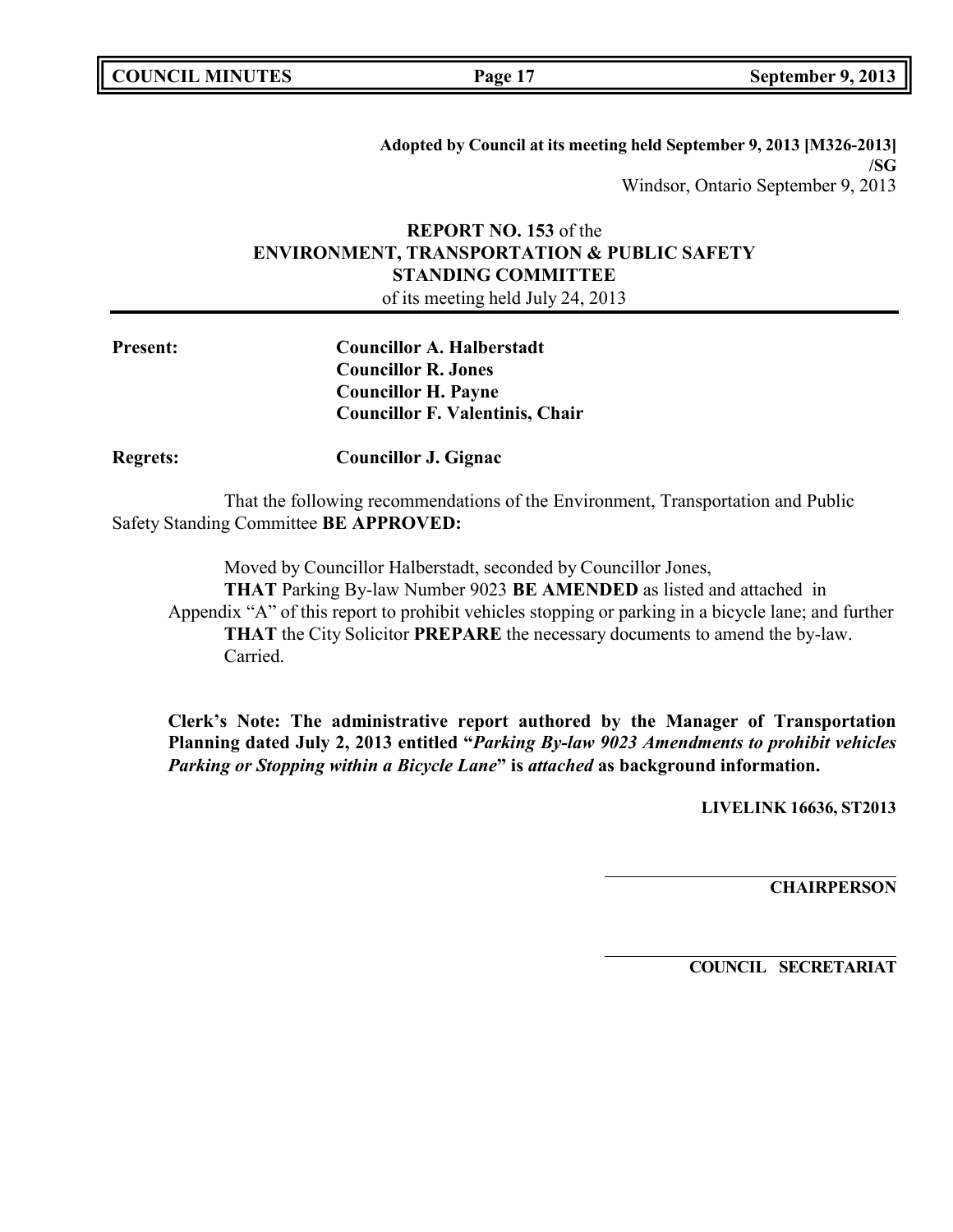|  | <b>COUNCIL MINUTES</b> |
|--|------------------------|
|--|------------------------|

**Adopted by Council at its meeting held September 9, 2013 [M326-2013] /SG** Windsor, Ontario September 9, 2013

# **REPORT NO. 153** of the **ENVIRONMENT, TRANSPORTATION & PUBLIC SAFETY STANDING COMMITTEE**

of its meeting held July 24, 2013

| <b>Present:</b> | <b>Councillor A. Halberstadt</b>       |
|-----------------|----------------------------------------|
|                 | <b>Councillor R. Jones</b>             |
|                 | <b>Councillor H. Payne</b>             |
|                 | <b>Councillor F. Valentinis, Chair</b> |

**Regrets: Councillor J. Gignac**

That the following recommendations of the Environment, Transportation and Public Safety Standing Committee **BE APPROVED:**

Moved by Councillor Halberstadt, seconded by Councillor Jones,

**THAT** Parking By-law Number 9023 **BE AMENDED** as listed and attached in Appendix "A" of this report to prohibit vehicles stopping or parking in a bicycle lane; and further **THAT** the City Solicitor **PREPARE** the necessary documents to amend the by-law. Carried.

**Clerk's Note: The administrative report authored by the Manager of Transportation Planning dated July 2, 2013 entitled "***Parking By-law 9023 Amendments to prohibit vehicles Parking or Stopping within a Bicycle Lane***" is** *attached* **as background information.**

**LIVELINK 16636, ST2013**

**CHAIRPERSON**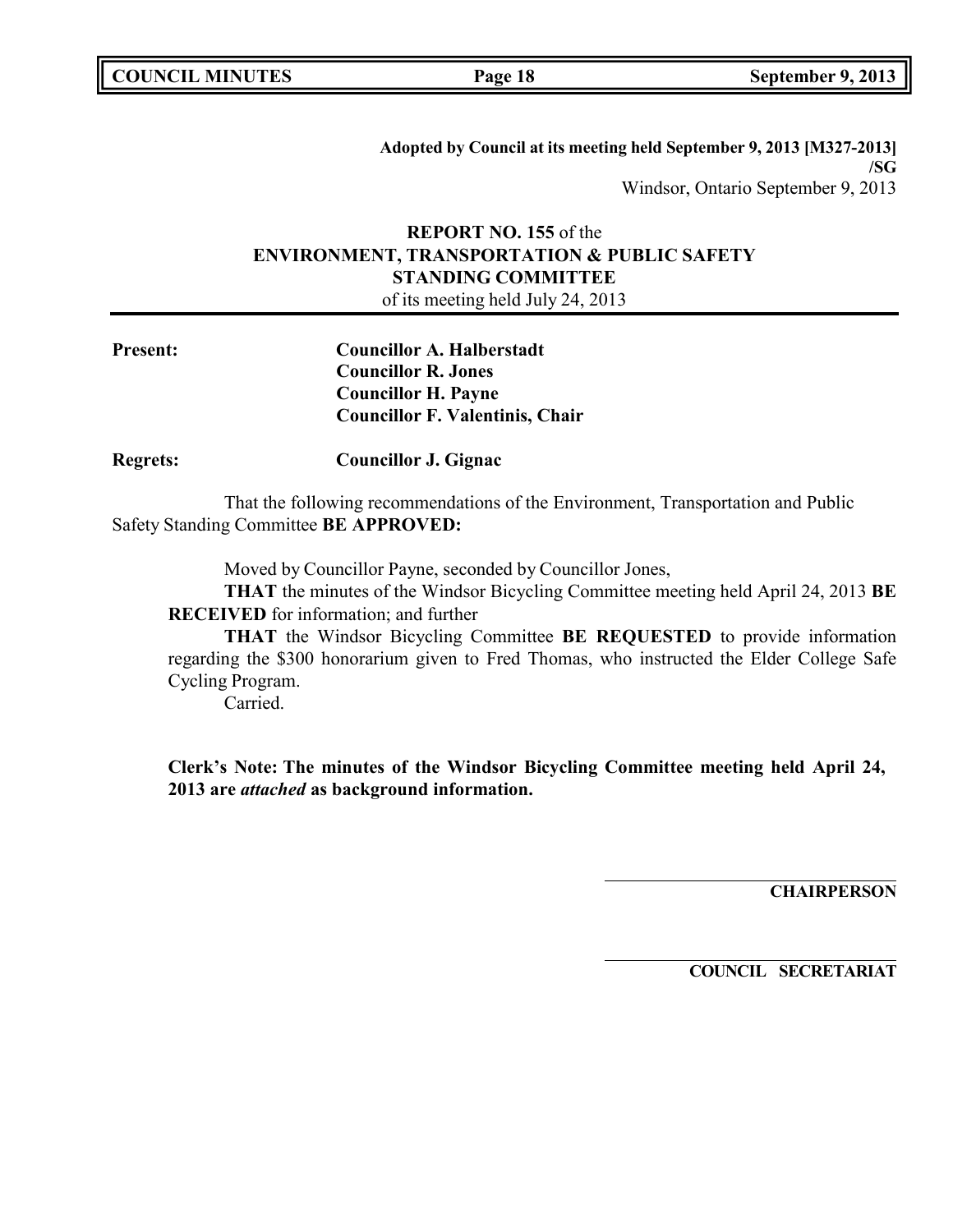**COUNCIL MINUTES Page 18 September 9, 2013**

**Adopted by Council at its meeting held September 9, 2013 [M327-2013] /SG** Windsor, Ontario September 9, 2013

# **REPORT NO. 155** of the **ENVIRONMENT, TRANSPORTATION & PUBLIC SAFETY STANDING COMMITTEE**

of its meeting held July 24, 2013

| <b>Present:</b> | <b>Councillor A. Halberstadt</b>       |
|-----------------|----------------------------------------|
|                 | <b>Councillor R. Jones</b>             |
|                 | <b>Councillor H. Payne</b>             |
|                 | <b>Councillor F. Valentinis, Chair</b> |
|                 |                                        |

**Regrets: Councillor J. Gignac**

That the following recommendations of the Environment, Transportation and Public Safety Standing Committee **BE APPROVED:**

Moved by Councillor Payne, seconded by Councillor Jones,

**THAT** the minutes of the Windsor Bicycling Committee meeting held April 24, 2013 **BE RECEIVED** for information; and further

**THAT** the Windsor Bicycling Committee **BE REQUESTED** to provide information regarding the \$300 honorarium given to Fred Thomas, who instructed the Elder College Safe Cycling Program.

Carried.

**Clerk's Note: The minutes of the Windsor Bicycling Committee meeting held April 24, 2013 are** *attached* **as background information.**

**CHAIRPERSON**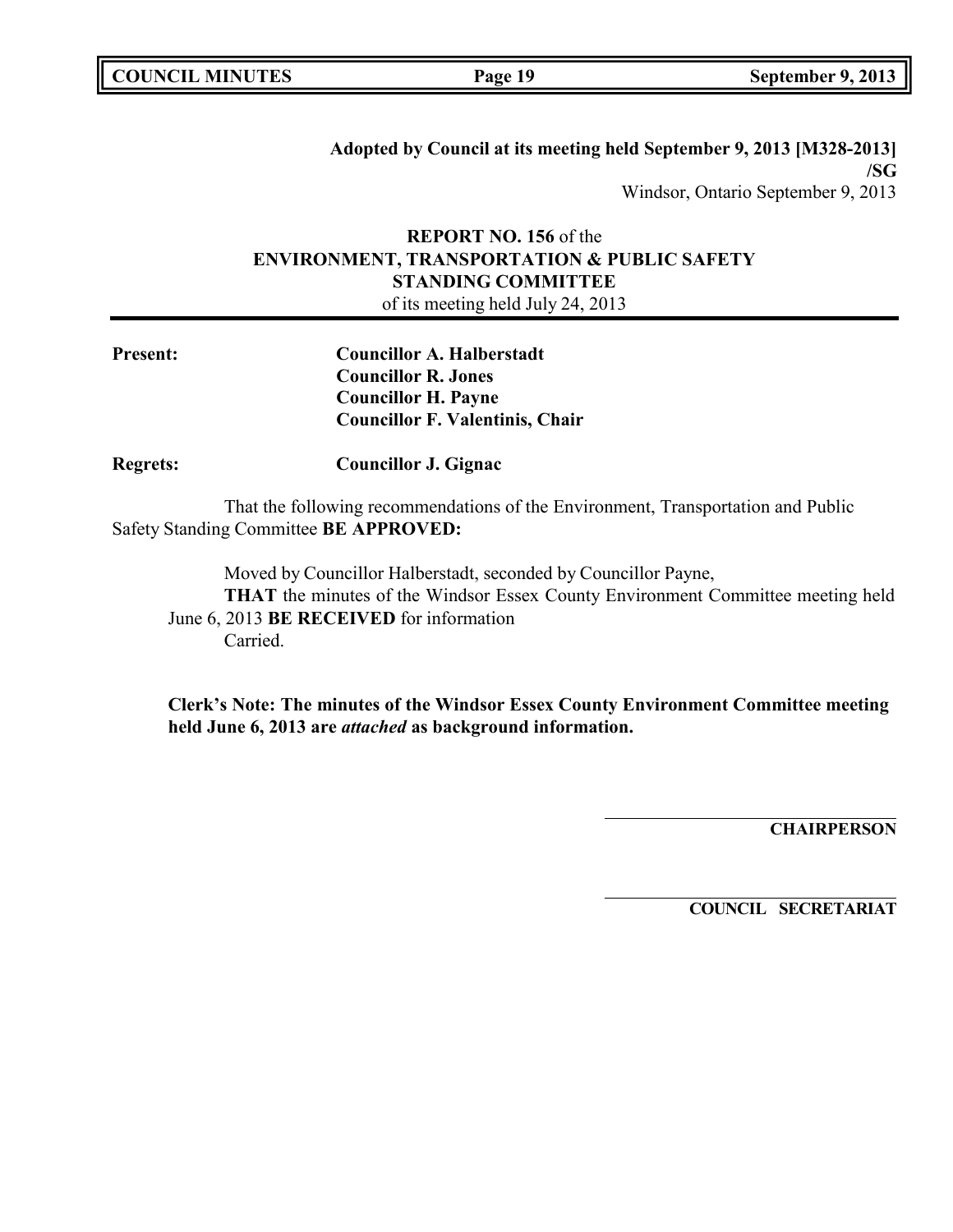|  | <b>COUNCIL MINUTES</b> |
|--|------------------------|
|--|------------------------|

**Adopted by Council at its meeting held September 9, 2013 [M328-2013] /SG** Windsor, Ontario September 9, 2013

# **REPORT NO. 156** of the **ENVIRONMENT, TRANSPORTATION & PUBLIC SAFETY STANDING COMMITTEE**

of its meeting held July 24, 2013

| <b>Present:</b> | <b>Councillor A. Halberstadt</b>       |
|-----------------|----------------------------------------|
|                 | <b>Councillor R. Jones</b>             |
|                 | <b>Councillor H. Payne</b>             |
|                 | <b>Councillor F. Valentinis, Chair</b> |
|                 |                                        |

**Regrets: Councillor J. Gignac**

That the following recommendations of the Environment, Transportation and Public Safety Standing Committee **BE APPROVED:**

Moved by Councillor Halberstadt, seconded by Councillor Payne, **THAT** the minutes of the Windsor Essex County Environment Committee meeting held June 6, 2013 **BE RECEIVED** for information Carried.

**Clerk's Note: The minutes of the Windsor Essex County Environment Committee meeting held June 6, 2013 are** *attached* **as background information.**

**CHAIRPERSON**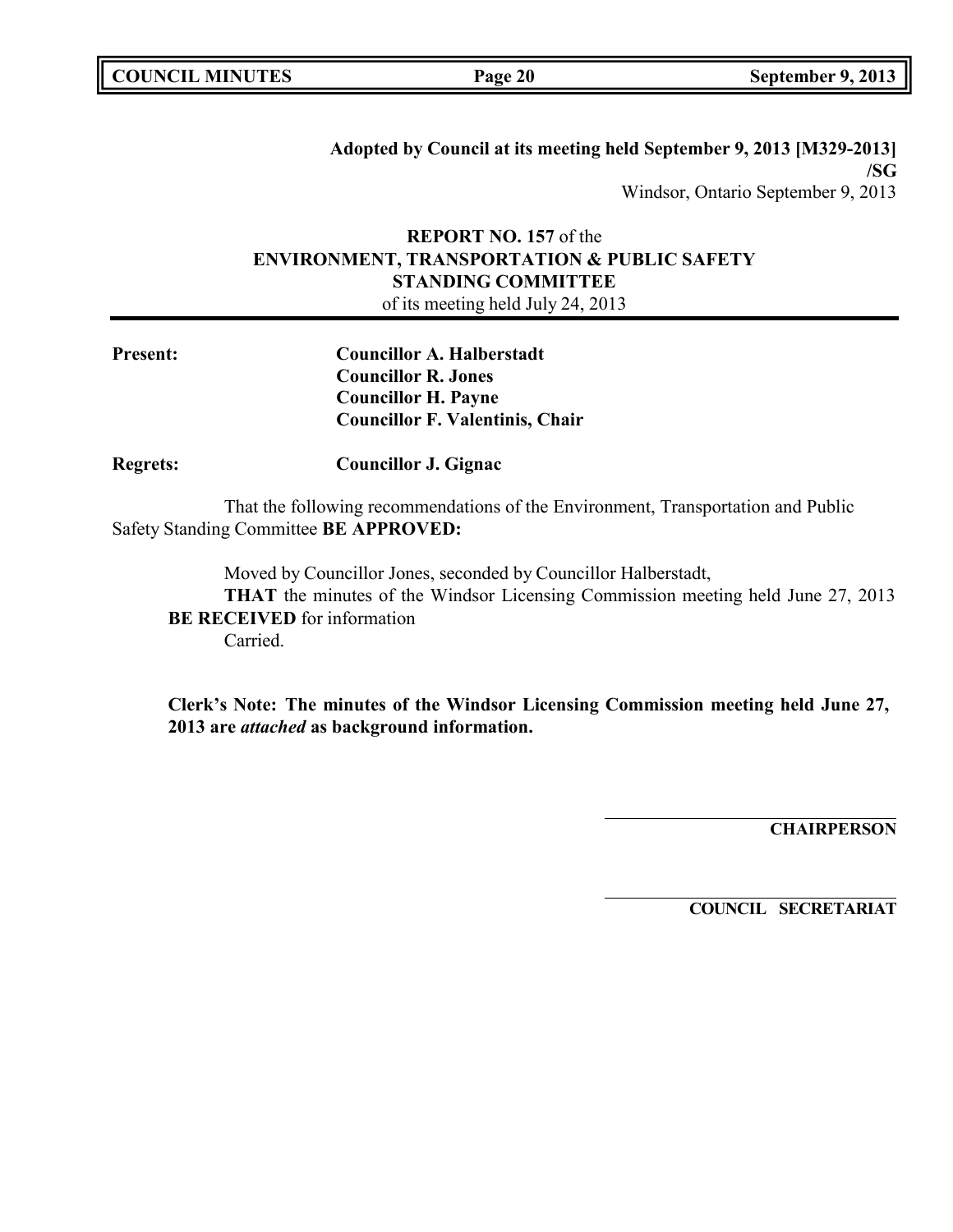|  | <b>COUNCIL MINUTES</b> |
|--|------------------------|
|--|------------------------|

**Adopted by Council at its meeting held September 9, 2013 [M329-2013] /SG** Windsor, Ontario September 9, 2013

# **REPORT NO. 157** of the **ENVIRONMENT, TRANSPORTATION & PUBLIC SAFETY STANDING COMMITTEE**

of its meeting held July 24, 2013

| <b>Present:</b> | <b>Councillor A. Halberstadt</b><br><b>Councillor R. Jones</b><br><b>Councillor H. Payne</b><br><b>Councillor F. Valentinis, Chair</b> |
|-----------------|----------------------------------------------------------------------------------------------------------------------------------------|
| <b>Regrets:</b> | <b>Councillor J. Gignac</b>                                                                                                            |
|                 | That the following recommendations of the Environment, Transportation and Public<br>Safety Standing Committee BE APPROVED:             |
|                 | Moved by Councillor Jones, seconded by Councillor Halberstadt,                                                                         |

**THAT** the minutes of the Windsor Licensing Commission meeting held June 27, 2013 **BE RECEIVED** for information Carried.

**Clerk's Note: The minutes of the Windsor Licensing Commission meeting held June 27, 2013 are** *attached* **as background information.**

**CHAIRPERSON**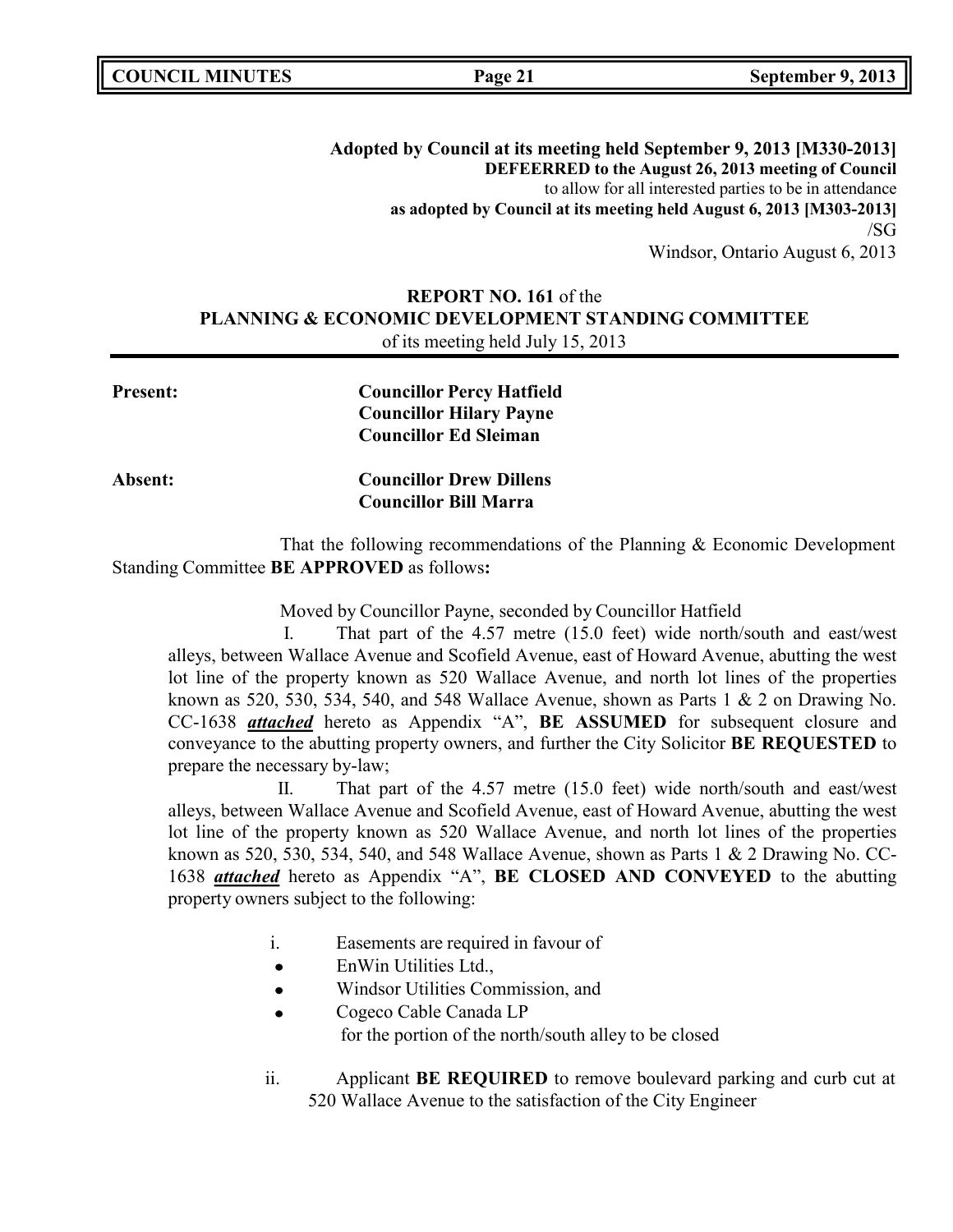**COUNCIL MINUTES Page 21 September 9, 2013**

**Adopted by Council at its meeting held September 9, 2013 [M330-2013] DEFEERRED to the August 26, 2013 meeting of Council** to allow for all interested parties to be in attendance **as adopted by Council at its meeting held August 6, 2013 [M303-2013]** /SG Windsor, Ontario August 6, 2013

# **REPORT NO. 161** of the **PLANNING & ECONOMIC DEVELOPMENT STANDING COMMITTEE** of its meeting held July 15, 2013

| <b>Present:</b> | <b>Councillor Percy Hatfield</b> |
|-----------------|----------------------------------|
|                 | <b>Councillor Hilary Payne</b>   |
|                 | <b>Councillor Ed Sleiman</b>     |
| <b>Absent:</b>  | <b>Councillor Drew Dillens</b>   |
|                 | <b>Councillor Bill Marra</b>     |
|                 |                                  |

That the following recommendations of the Planning & Economic Development Standing Committee **BE APPROVED** as follows**:**

Moved by Councillor Payne, seconded by Councillor Hatfield

I. That part of the 4.57 metre (15.0 feet) wide north/south and east/west alleys, between Wallace Avenue and Scofield Avenue, east of Howard Avenue, abutting the west lot line of the property known as 520 Wallace Avenue, and north lot lines of the properties known as 520, 530, 534, 540, and 548 Wallace Avenue, shown as Parts  $1 \& 2$  on Drawing No. CC-1638 *attached* hereto as Appendix "A", **BE ASSUMED** for subsequent closure and conveyance to the abutting property owners, and further the City Solicitor **BE REQUESTED** to prepare the necessary by-law;

II. That part of the 4.57 metre (15.0 feet) wide north/south and east/west alleys, between Wallace Avenue and Scofield Avenue, east of Howard Avenue, abutting the west lot line of the property known as 520 Wallace Avenue, and north lot lines of the properties known as 520, 530, 534, 540, and 548 Wallace Avenue, shown as Parts 1 & 2 Drawing No. CC-1638 *attached* hereto as Appendix "A", **BE CLOSED AND CONVEYED** to the abutting property owners subject to the following:

- i. Easements are required in favour of
- $\bullet$ EnWin Utilities Ltd.,
- Windsor Utilities Commission, and
- Cogeco Cable Canada LP for the portion of the north/south alley to be closed
- ii. Applicant **BE REQUIRED** to remove boulevard parking and curb cut at 520 Wallace Avenue to the satisfaction of the City Engineer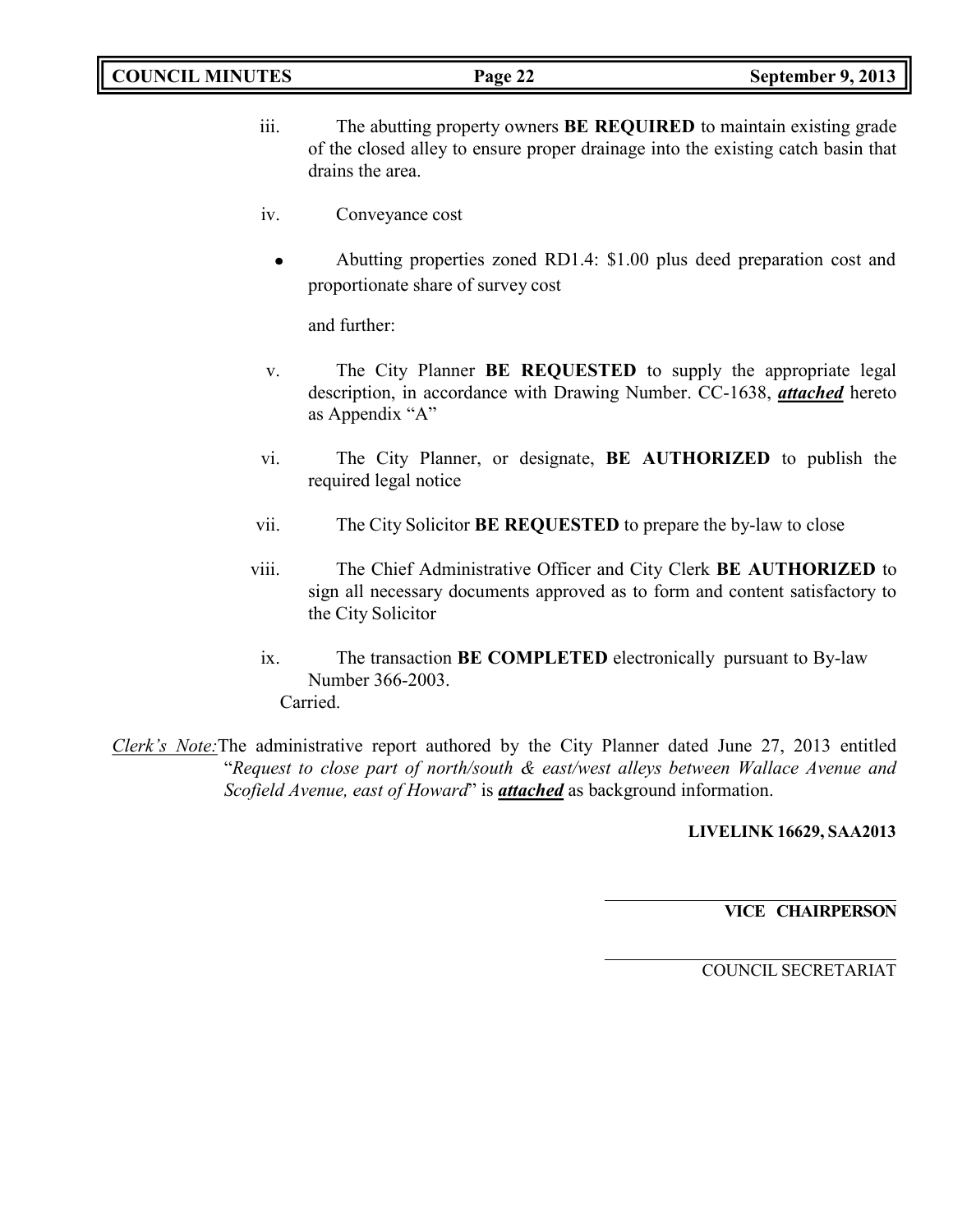- iii. The abutting property owners **BE REQUIRED** to maintain existing grade of the closed alley to ensure proper drainage into the existing catch basin that drains the area.
- iv. Conveyance cost
	- Abutting properties zoned RD1.4: \$1.00 plus deed preparation cost and  $\bullet$ proportionate share of survey cost

and further:

- v. The City Planner **BE REQUESTED** to supply the appropriate legal description, in accordance with Drawing Number. CC-1638, *attached* hereto as Appendix "A"
- vi. The City Planner, or designate, **BE AUTHORIZED** to publish the required legal notice
- vii. The City Solicitor **BE REQUESTED** to prepare the by-law to close
- viii. The Chief Administrative Officer and City Clerk **BE AUTHORIZED** to sign all necessary documents approved as to form and content satisfactory to the City Solicitor
	- ix. The transaction **BE COMPLETED** electronically pursuant to By-law Number 366-2003. Carried.
- *Clerk's Note:*The administrative report authored by the City Planner dated June 27, 2013 entitled "*Request to close part of north/south & east/west alleys between Wallace Avenue and Scofield Avenue, east of Howard*" is *attached* as background information.

**LIVELINK 16629, SAA2013**

**VICE CHAIRPERSON**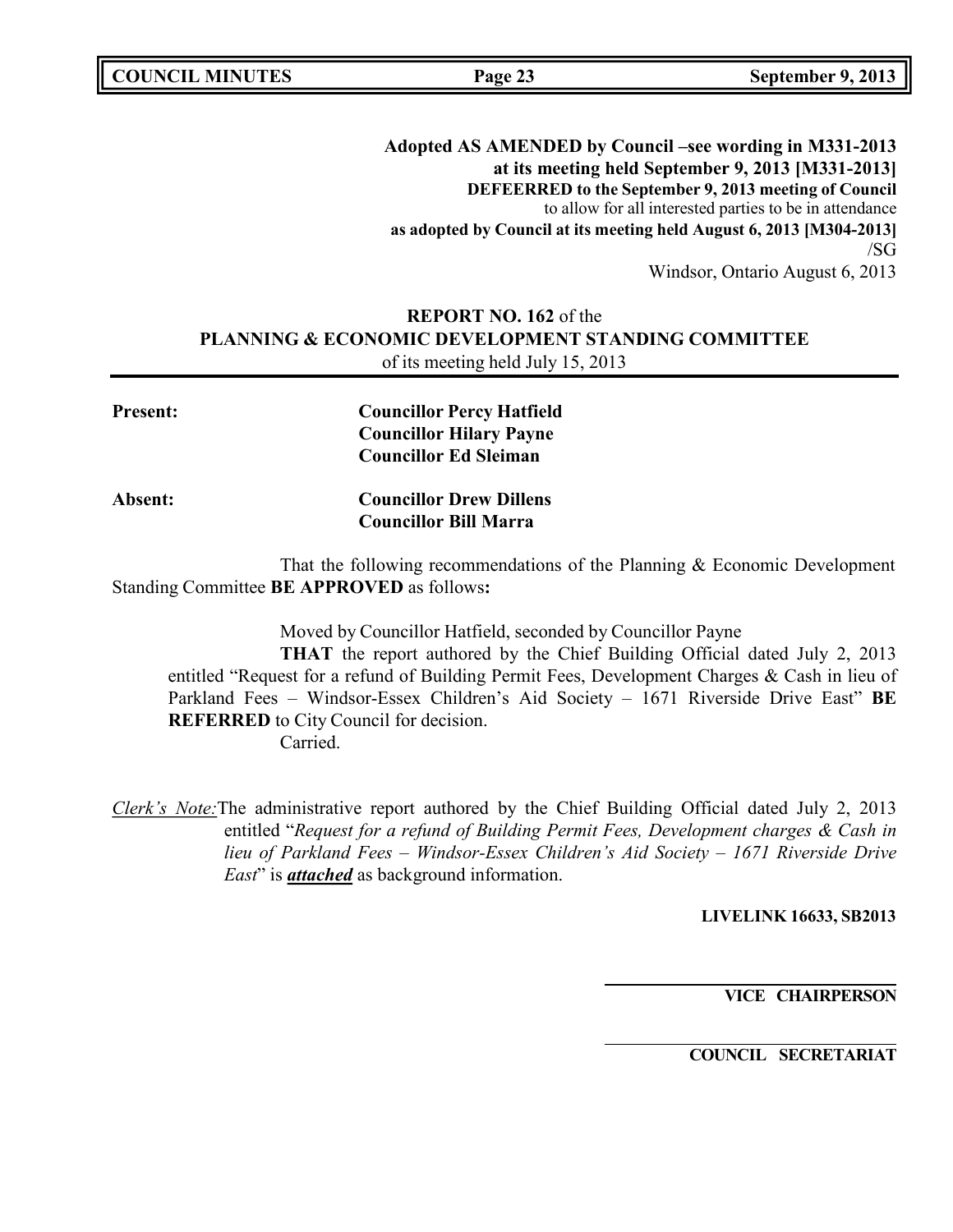**COUNCIL MINUTES Page 23 September 9, 2013**

**Adopted AS AMENDED by Council –see wording in M331-2013 at its meeting held September 9, 2013 [M331-2013] DEFEERRED to the September 9, 2013 meeting of Council** to allow for all interested parties to be in attendance **as adopted by Council at its meeting held August 6, 2013 [M304-2013]** /SG Windsor, Ontario August 6, 2013

# **REPORT NO. 162** of the **PLANNING & ECONOMIC DEVELOPMENT STANDING COMMITTEE** of its meeting held July 15, 2013

| <b>Present:</b> | <b>Councillor Percy Hatfield</b> |
|-----------------|----------------------------------|
|                 | <b>Councillor Hilary Payne</b>   |
|                 | <b>Councillor Ed Sleiman</b>     |
| Absent:         | <b>Councillor Drew Dillens</b>   |
|                 | <b>Councillor Bill Marra</b>     |

That the following recommendations of the Planning & Economic Development Standing Committee **BE APPROVED** as follows**:**

Moved by Councillor Hatfield, seconded by Councillor Payne

**THAT** the report authored by the Chief Building Official dated July 2, 2013 entitled "Request for a refund of Building Permit Fees, Development Charges & Cash in lieu of Parkland Fees – Windsor-Essex Children's Aid Society – 1671 Riverside Drive East" **BE REFERRED** to City Council for decision.

Carried.

*Clerk's Note:*The administrative report authored by the Chief Building Official dated July 2, 2013 entitled "*Request for a refund of Building Permit Fees, Development charges & Cash in lieu of Parkland Fees – Windsor-Essex Children's Aid Society – 1671 Riverside Drive East*" is *attached* as background information.

**LIVELINK 16633, SB2013**

**VICE CHAIRPERSON**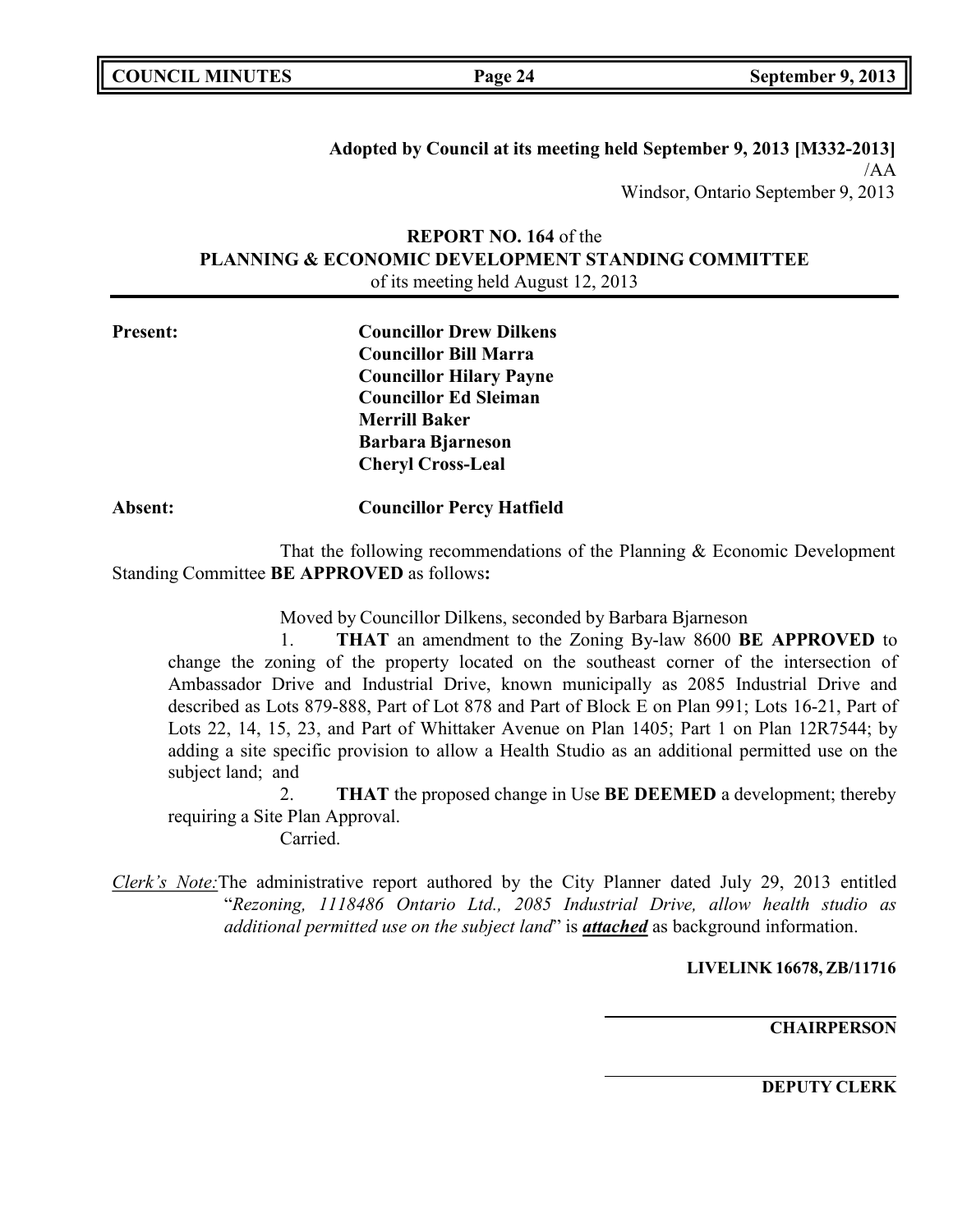**Adopted by Council at its meeting held September 9, 2013 [M332-2013]** /AA Windsor, Ontario September 9, 2013

# **REPORT NO. 164** of the **PLANNING & ECONOMIC DEVELOPMENT STANDING COMMITTEE** of its meeting held August 12, 2013

**Present: Councillor Drew Dilkens Councillor Bill Marra Councillor Hilary Payne Councillor Ed Sleiman Merrill Baker Barbara Bjarneson Cheryl Cross-Leal**

# **Absent: Councillor Percy Hatfield**

That the following recommendations of the Planning & Economic Development Standing Committee **BE APPROVED** as follows**:**

Moved by Councillor Dilkens, seconded by Barbara Bjarneson

1. **THAT** an amendment to the Zoning By-law 8600 **BE APPROVED** to change the zoning of the property located on the southeast corner of the intersection of Ambassador Drive and Industrial Drive, known municipally as 2085 Industrial Drive and described as Lots 879-888, Part of Lot 878 and Part of Block E on Plan 991; Lots 16-21, Part of Lots 22, 14, 15, 23, and Part of Whittaker Avenue on Plan 1405; Part 1 on Plan 12R7544; by adding a site specific provision to allow a Health Studio as an additional permitted use on the subject land; and

2. **THAT** the proposed change in Use **BE DEEMED** a development; thereby requiring a Site Plan Approval.

Carried.

*Clerk's Note:*The administrative report authored by the City Planner dated July 29, 2013 entitled "*Rezoning, 1118486 Ontario Ltd., 2085 Industrial Drive, allow health studio as additional permitted use on the subject land*" is *attached* as background information.

### **LIVELINK 16678, ZB/11716**

**CHAIRPERSON**

**DEPUTY CLERK**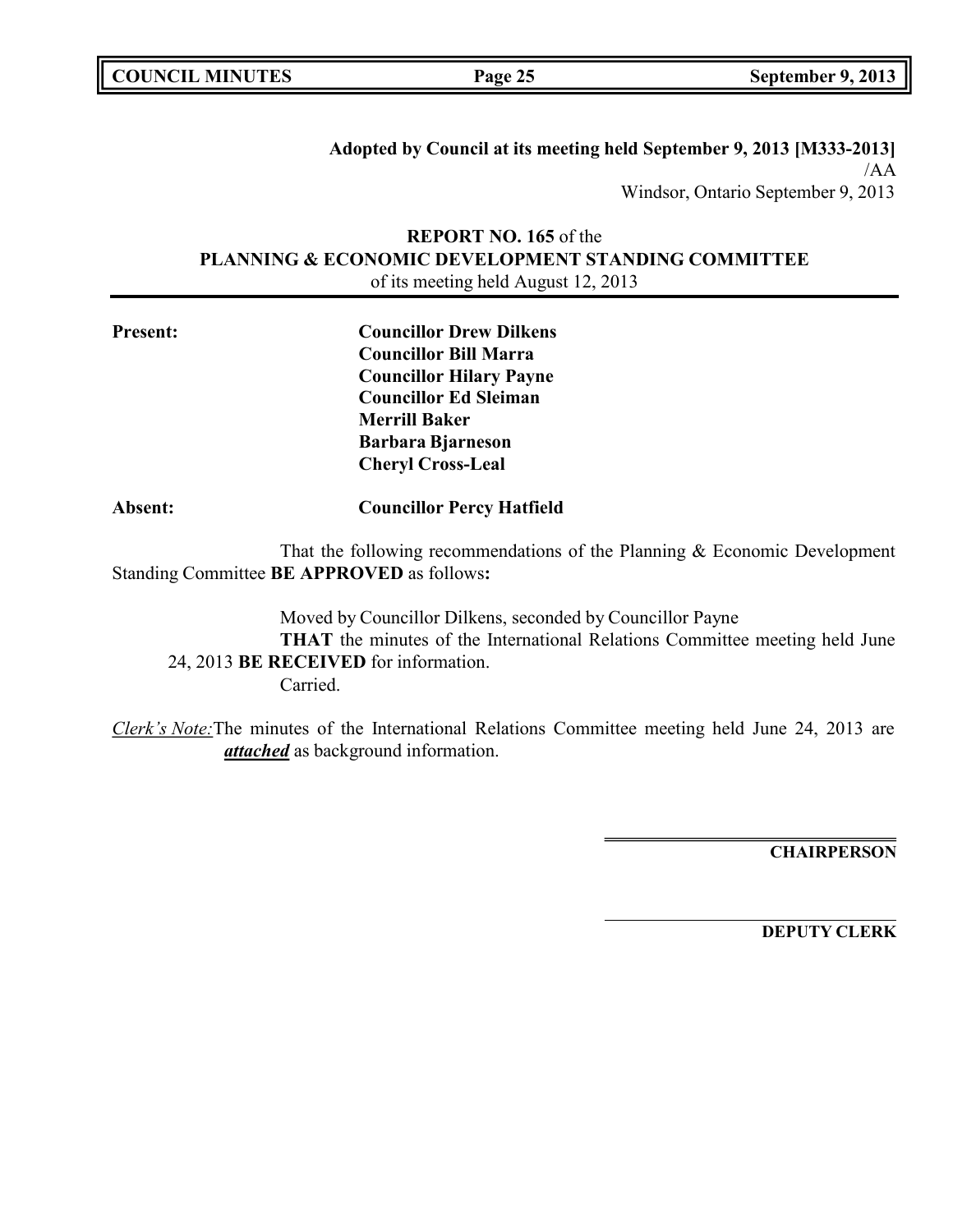**Adopted by Council at its meeting held September 9, 2013 [M333-2013]** /AA Windsor, Ontario September 9, 2013

# **REPORT NO. 165** of the **PLANNING & ECONOMIC DEVELOPMENT STANDING COMMITTEE** of its meeting held August 12, 2013

| <b>Present:</b> | <b>Councillor Drew Dilkens</b> |
|-----------------|--------------------------------|
|                 | <b>Councillor Bill Marra</b>   |
|                 | <b>Councillor Hilary Payne</b> |
|                 | <b>Councillor Ed Sleiman</b>   |
|                 | <b>Merrill Baker</b>           |
|                 | <b>Barbara Bjarneson</b>       |
|                 | <b>Cheryl Cross-Leal</b>       |
|                 |                                |

# **Absent: Councillor Percy Hatfield**

That the following recommendations of the Planning & Economic Development Standing Committee **BE APPROVED** as follows**:**

Moved by Councillor Dilkens, seconded by Councillor Payne **THAT** the minutes of the International Relations Committee meeting held June 24, 2013 **BE RECEIVED** for information. Carried.

*Clerk's Note:*The minutes of the International Relations Committee meeting held June 24, 2013 are *attached* as background information.

**CHAIRPERSON**

**DEPUTY CLERK**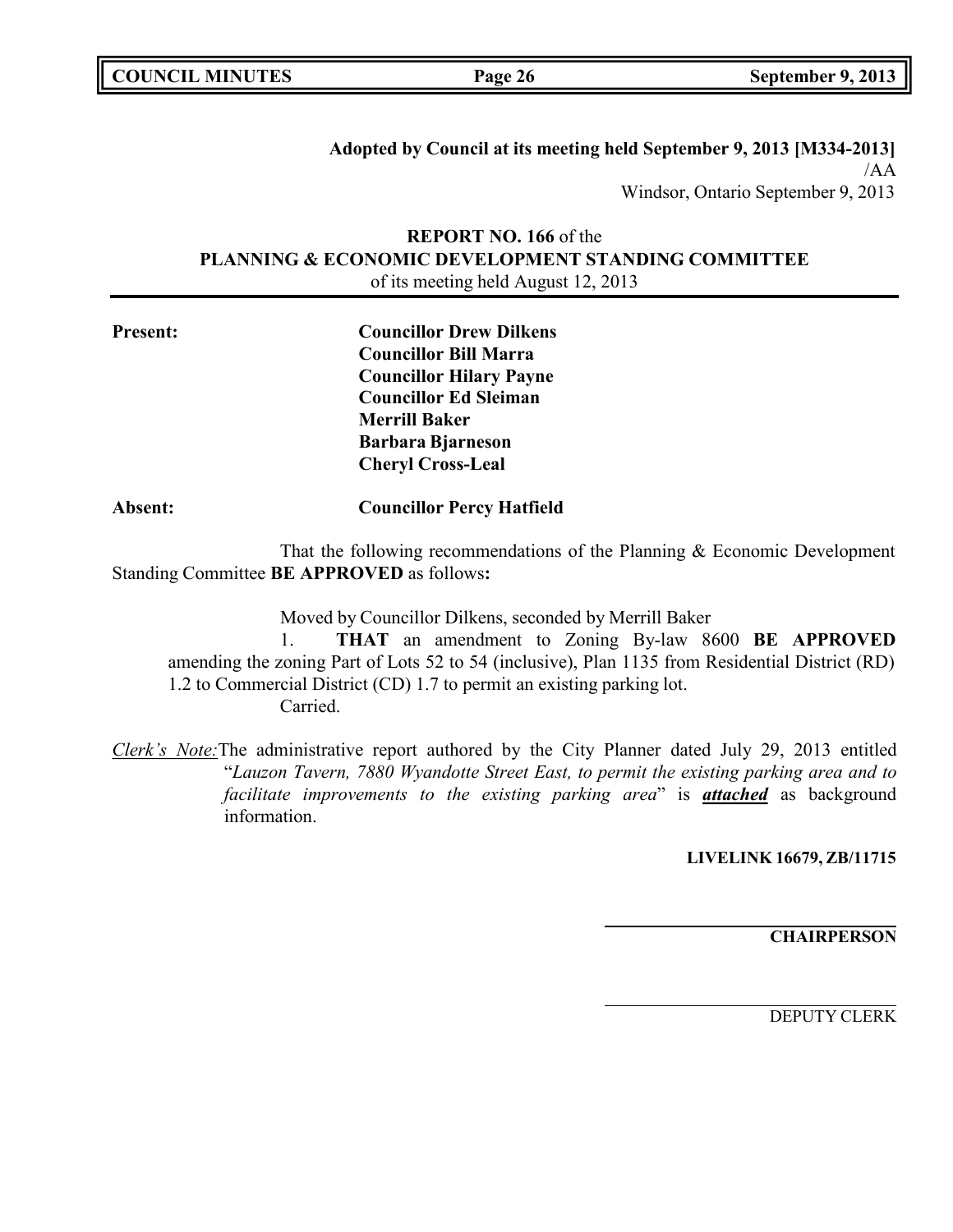**Adopted by Council at its meeting held September 9, 2013 [M334-2013]** /AA Windsor, Ontario September 9, 2013

# **REPORT NO. 166** of the **PLANNING & ECONOMIC DEVELOPMENT STANDING COMMITTEE** of its meeting held August 12, 2013

| <b>Present:</b> | <b>Councillor Drew Dilkens</b> |
|-----------------|--------------------------------|
|                 | <b>Councillor Bill Marra</b>   |
|                 | <b>Councillor Hilary Payne</b> |
|                 | <b>Councillor Ed Sleiman</b>   |
|                 | <b>Merrill Baker</b>           |
|                 | <b>Barbara Bjarneson</b>       |
|                 | <b>Cheryl Cross-Leal</b>       |
|                 |                                |

### **Absent: Councillor Percy Hatfield**

That the following recommendations of the Planning & Economic Development Standing Committee **BE APPROVED** as follows**:**

Moved by Councillor Dilkens, seconded by Merrill Baker

1. **THAT** an amendment to Zoning By-law 8600 **BE APPROVED** amending the zoning Part of Lots 52 to 54 (inclusive), Plan 1135 from Residential District (RD) 1.2 to Commercial District (CD) 1.7 to permit an existing parking lot. Carried.

*Clerk's Note:*The administrative report authored by the City Planner dated July 29, 2013 entitled "*Lauzon Tavern, 7880 Wyandotte Street East, to permit the existing parking area and to facilitate improvements to the existing parking area*" is *attached* as background information.

**LIVELINK 16679, ZB/11715**

**CHAIRPERSON**

DEPUTY CLERK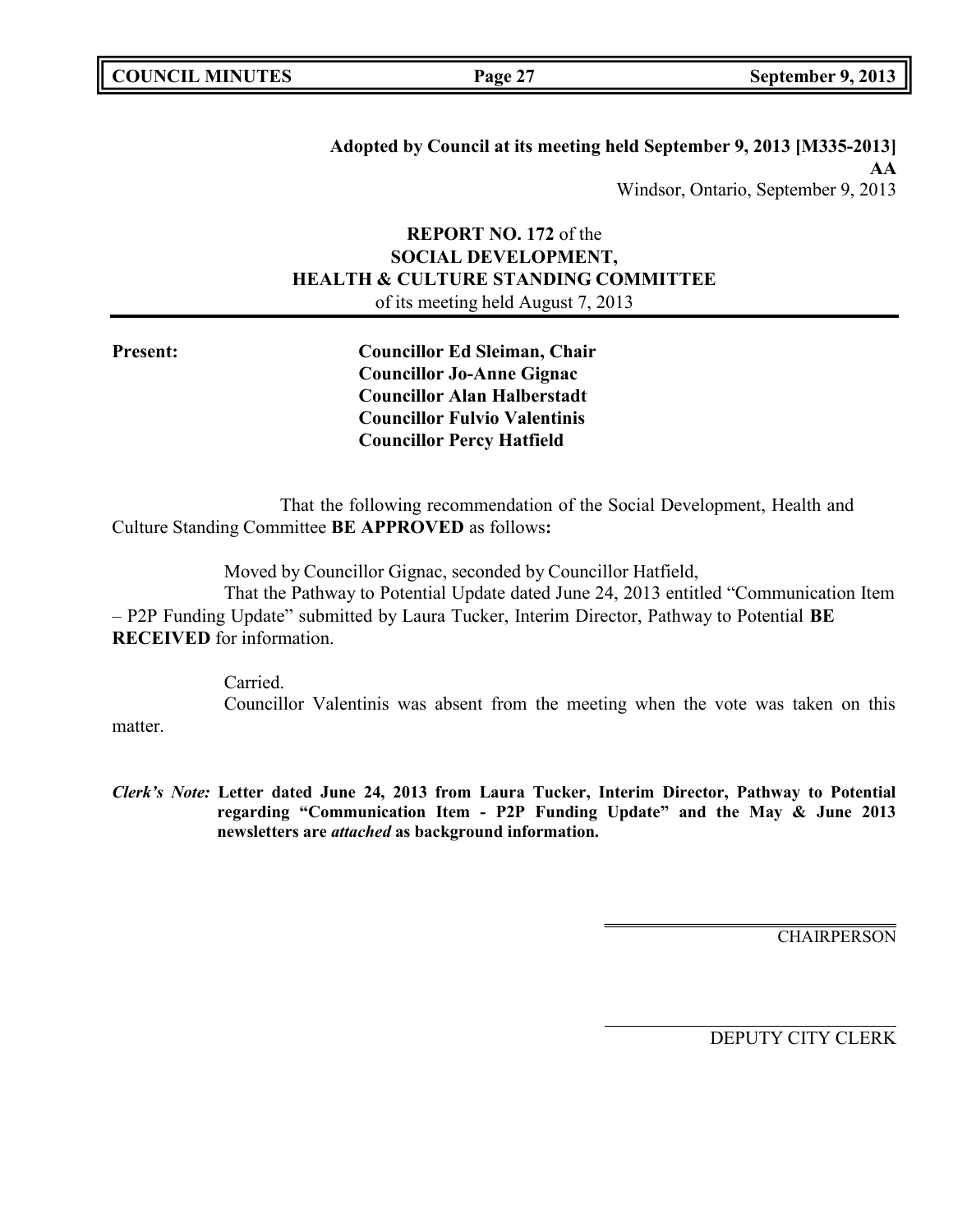|  | <b>COUNCIL MINUTES</b> |
|--|------------------------|
|--|------------------------|

**Adopted by Council at its meeting held September 9, 2013 [M335-2013] AA** Windsor, Ontario, September 9, 2013

# **REPORT NO. 172** of the **SOCIAL DEVELOPMENT, HEALTH & CULTURE STANDING COMMITTEE** of its meeting held August 7, 2013

**Present: Councillor Ed Sleiman, Chair Councillor Jo-Anne Gignac Councillor Alan Halberstadt Councillor Fulvio Valentinis Councillor Percy Hatfield**

That the following recommendation of the Social Development, Health and Culture Standing Committee **BE APPROVED** as follows**:**

Moved by Councillor Gignac, seconded by Councillor Hatfield,

That the Pathway to Potential Update dated June 24, 2013 entitled "Communication Item – P2P Funding Update" submitted by Laura Tucker, Interim Director, Pathway to Potential **BE RECEIVED** for information.

> Carried. Councillor Valentinis was absent from the meeting when the vote was taken on this

matter.

*Clerk's Note:* **Letter dated June 24, 2013 from Laura Tucker, Interim Director, Pathway to Potential regarding "Communication Item - P2P Funding Update" and the May & June 2013 newsletters are** *attached* **as background information.**

**CHAIRPERSON**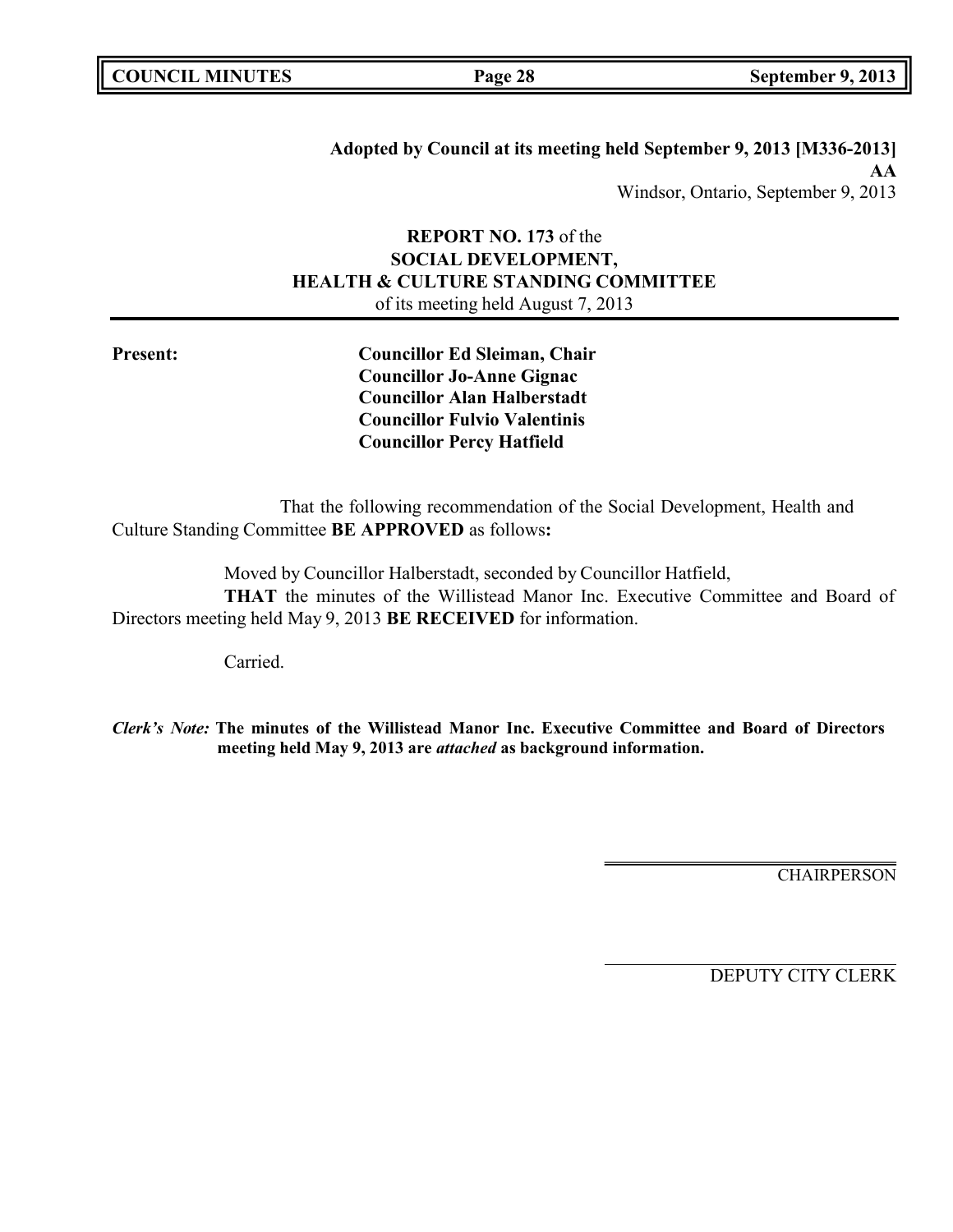|  | <b>COUNCIL MINUTES</b> |
|--|------------------------|
|--|------------------------|

**Adopted by Council at its meeting held September 9, 2013 [M336-2013] AA** Windsor, Ontario, September 9, 2013

# **REPORT NO. 173** of the **SOCIAL DEVELOPMENT, HEALTH & CULTURE STANDING COMMITTEE** of its meeting held August 7, 2013

**Present: Councillor Ed Sleiman, Chair Councillor Jo-Anne Gignac Councillor Alan Halberstadt Councillor Fulvio Valentinis Councillor Percy Hatfield**

That the following recommendation of the Social Development, Health and Culture Standing Committee **BE APPROVED** as follows**:**

Moved by Councillor Halberstadt, seconded by Councillor Hatfield,

**THAT** the minutes of the Willistead Manor Inc. Executive Committee and Board of Directors meeting held May 9, 2013 **BE RECEIVED** for information.

Carried.

*Clerk's Note:* **The minutes of the Willistead Manor Inc. Executive Committee and Board of Directors meeting held May 9, 2013 are** *attached* **as background information.**

**CHAIRPERSON**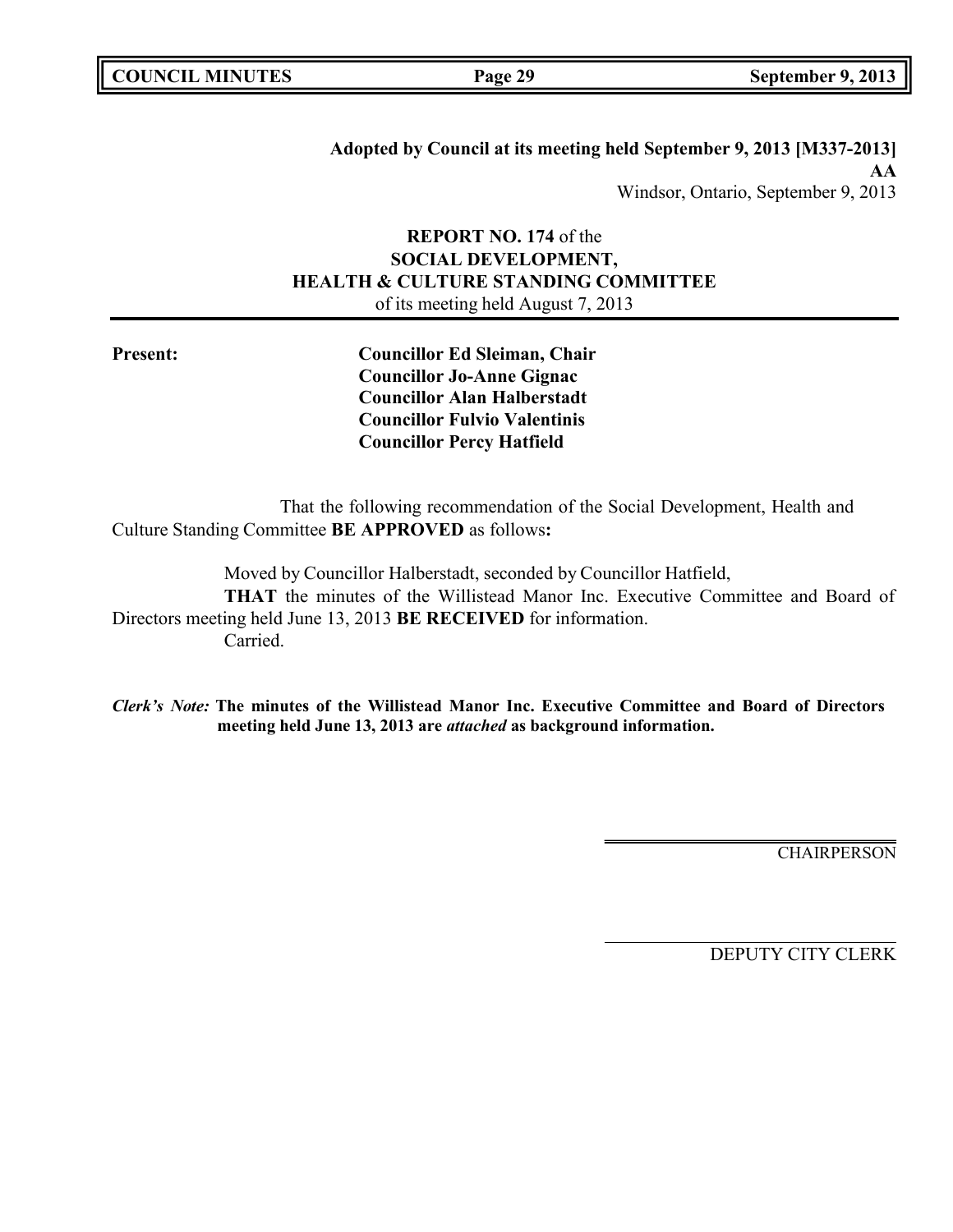|  | <b>COUNCIL MINUTES</b> |
|--|------------------------|
|--|------------------------|

**Adopted by Council at its meeting held September 9, 2013 [M337-2013] AA** Windsor, Ontario, September 9, 2013

# **REPORT NO. 174** of the **SOCIAL DEVELOPMENT, HEALTH & CULTURE STANDING COMMITTEE** of its meeting held August 7, 2013

**Present: Councillor Ed Sleiman, Chair Councillor Jo-Anne Gignac Councillor Alan Halberstadt Councillor Fulvio Valentinis Councillor Percy Hatfield**

That the following recommendation of the Social Development, Health and Culture Standing Committee **BE APPROVED** as follows**:**

Moved by Councillor Halberstadt, seconded by Councillor Hatfield, **THAT** the minutes of the Willistead Manor Inc. Executive Committee and Board of Directors meeting held June 13, 2013 **BE RECEIVED** for information. Carried.

*Clerk's Note:* **The minutes of the Willistead Manor Inc. Executive Committee and Board of Directors meeting held June 13, 2013 are** *attached* **as background information.**

CHAIRPERSON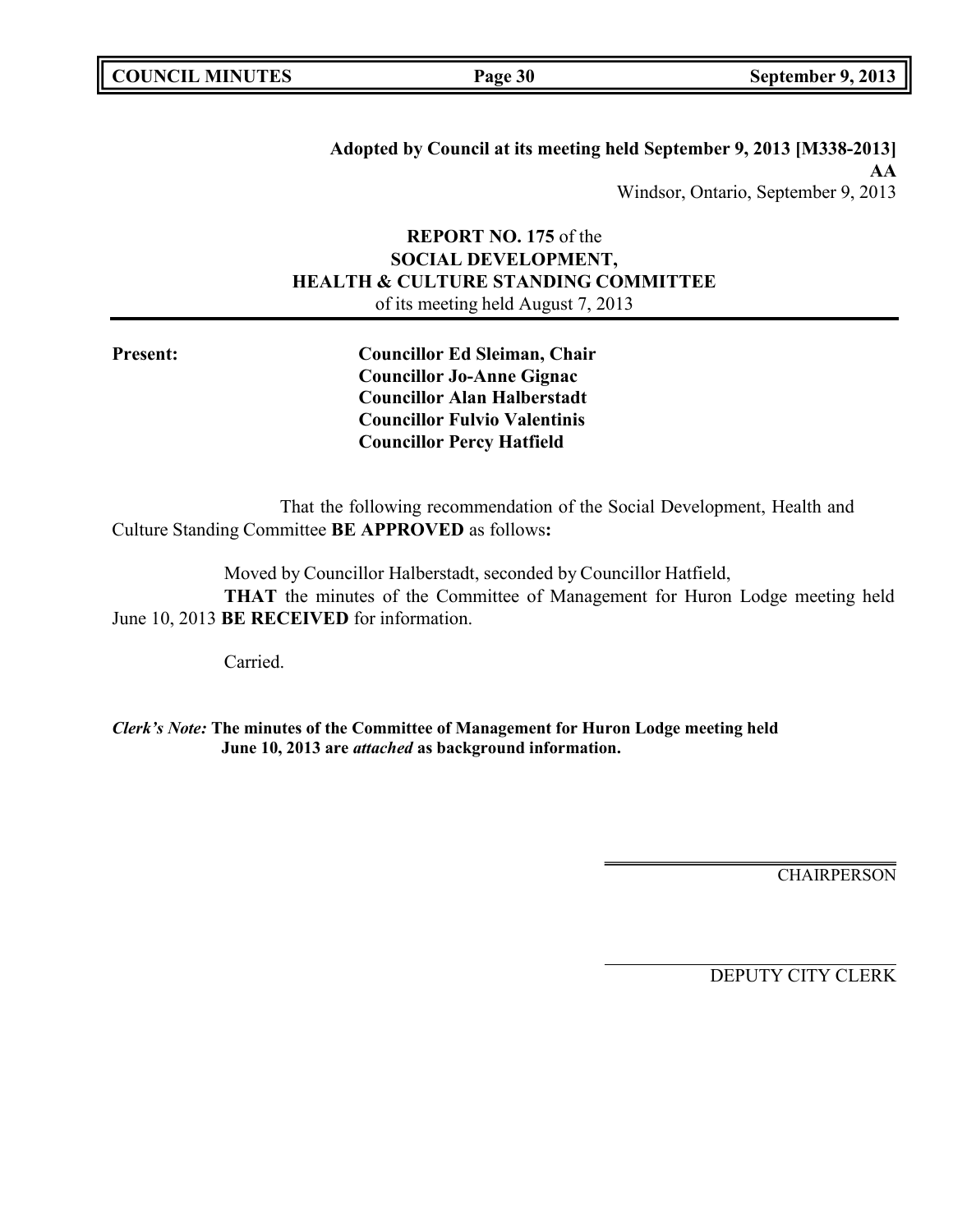**Adopted by Council at its meeting held September 9, 2013 [M338-2013] AA** Windsor, Ontario, September 9, 2013

# **REPORT NO. 175** of the **SOCIAL DEVELOPMENT, HEALTH & CULTURE STANDING COMMITTEE** of its meeting held August 7, 2013

**Present: Councillor Ed Sleiman, Chair Councillor Jo-Anne Gignac Councillor Alan Halberstadt Councillor Fulvio Valentinis Councillor Percy Hatfield**

That the following recommendation of the Social Development, Health and Culture Standing Committee **BE APPROVED** as follows**:**

Moved by Councillor Halberstadt, seconded by Councillor Hatfield,

**THAT** the minutes of the Committee of Management for Huron Lodge meeting held June 10, 2013 **BE RECEIVED** for information.

Carried.

*Clerk's Note:* **The minutes of the Committee of Management for Huron Lodge meeting held June 10, 2013 are** *attached* **as background information.**

**CHAIRPERSON**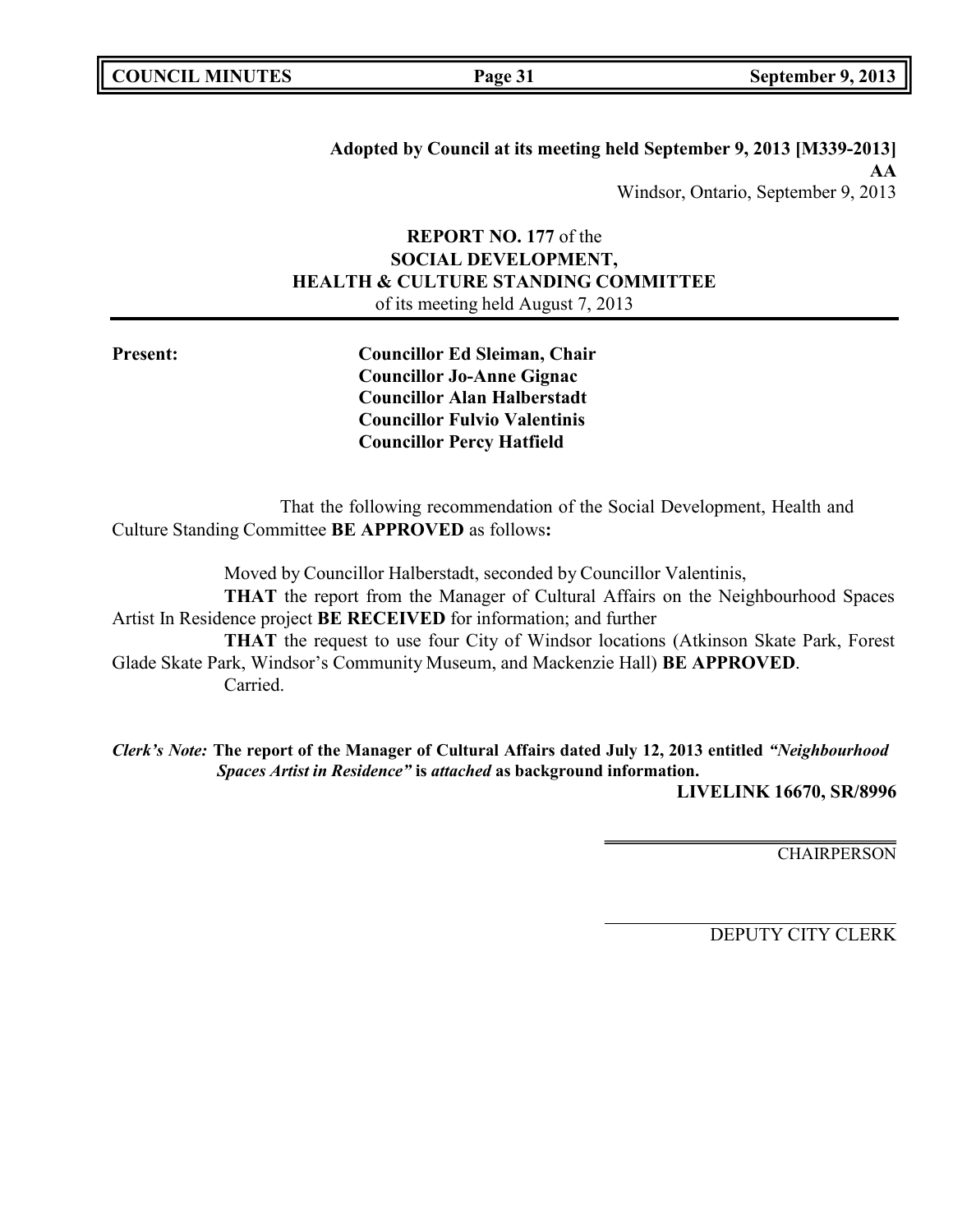|  | <b>COUNCIL MINUTES</b> |
|--|------------------------|
|--|------------------------|

**Adopted by Council at its meeting held September 9, 2013 [M339-2013] AA** Windsor, Ontario, September 9, 2013

# **REPORT NO. 177** of the **SOCIAL DEVELOPMENT, HEALTH & CULTURE STANDING COMMITTEE** of its meeting held August 7, 2013

**Present: Councillor Ed Sleiman, Chair Councillor Jo-Anne Gignac Councillor Alan Halberstadt Councillor Fulvio Valentinis Councillor Percy Hatfield**

That the following recommendation of the Social Development, Health and Culture Standing Committee **BE APPROVED** as follows**:**

Moved by Councillor Halberstadt, seconded by Councillor Valentinis, **THAT** the report from the Manager of Cultural Affairs on the Neighbourhood Spaces Artist In Residence project **BE RECEIVED** for information; and further **THAT** the request to use four City of Windsor locations (Atkinson Skate Park, Forest

Glade Skate Park, Windsor's Community Museum, and Mackenzie Hall) **BE APPROVED**. Carried.

*Clerk's Note:* **The report of the Manager of Cultural Affairs dated July 12, 2013 entitled** *"Neighbourhood Spaces Artist in Residence"* **is** *attached* **as background information.**

**LIVELINK 16670, SR/8996**

**CHAIRPERSON**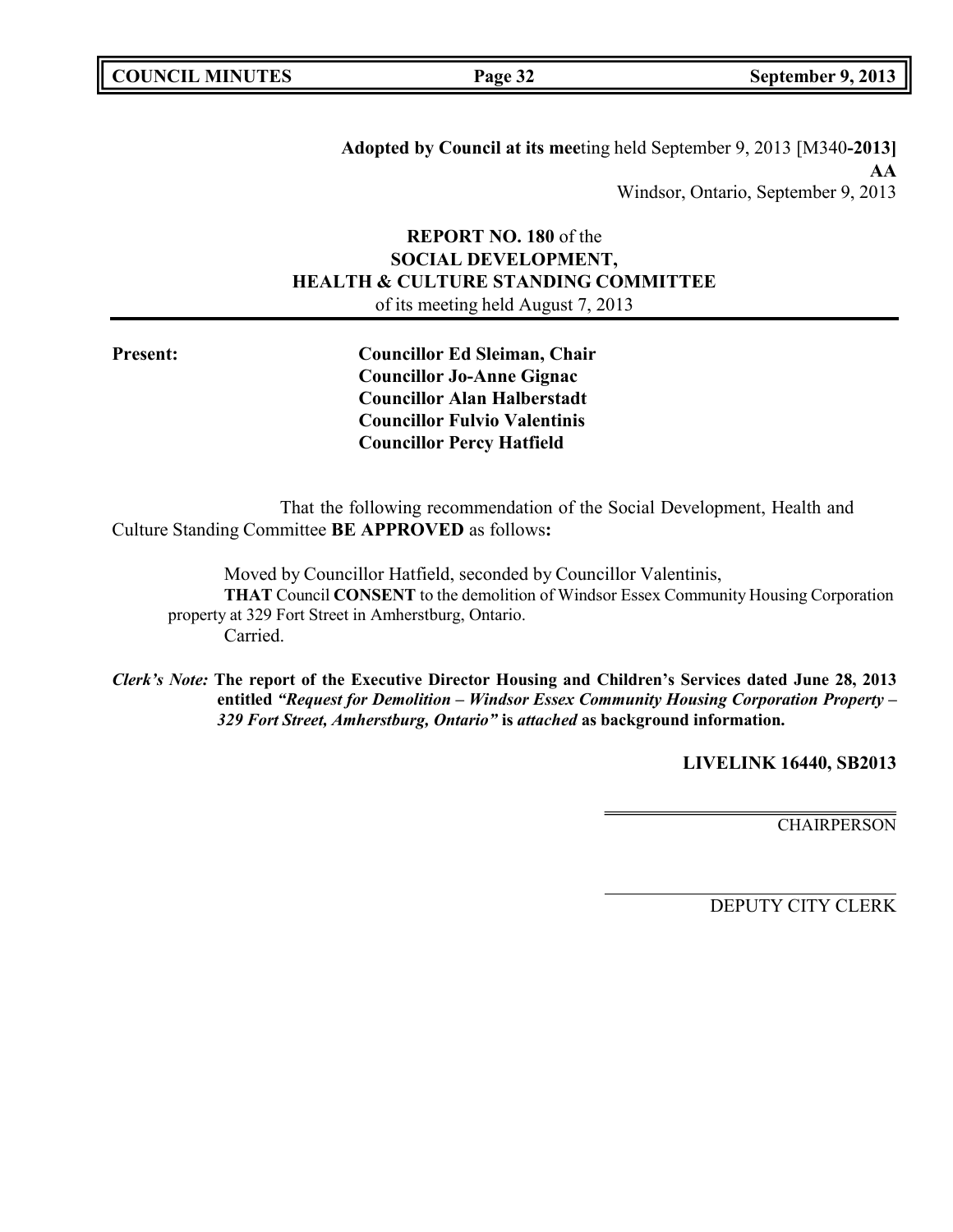|  | <b>COUNCIL MINUTES</b> |
|--|------------------------|
|--|------------------------|

**COUNCIL MINUTES Page 32 September 9, 2013**

**Adopted by Council at its mee**ting held September 9, 2013 [M340**-2013] AA** Windsor, Ontario, September 9, 2013

# **REPORT NO. 180** of the **SOCIAL DEVELOPMENT, HEALTH & CULTURE STANDING COMMITTEE** of its meeting held August 7, 2013

**Present: Councillor Ed Sleiman, Chair Councillor Jo-Anne Gignac Councillor Alan Halberstadt Councillor Fulvio Valentinis Councillor Percy Hatfield**

That the following recommendation of the Social Development, Health and Culture Standing Committee **BE APPROVED** as follows**:**

Moved by Councillor Hatfield, seconded by Councillor Valentinis, **THAT** Council **CONSENT** to the demolition of Windsor Essex Community Housing Corporation property at 329 Fort Street in Amherstburg, Ontario. Carried.

*Clerk's Note:* **The report of the Executive Director Housing and Children's Services dated June 28, 2013 entitled** *"Request for Demolition – Windsor Essex Community Housing Corporation Property – 329 Fort Street, Amherstburg, Ontario"* **is** *attached* **as background information.**

**LIVELINK 16440, SB2013**

**CHAIRPERSON**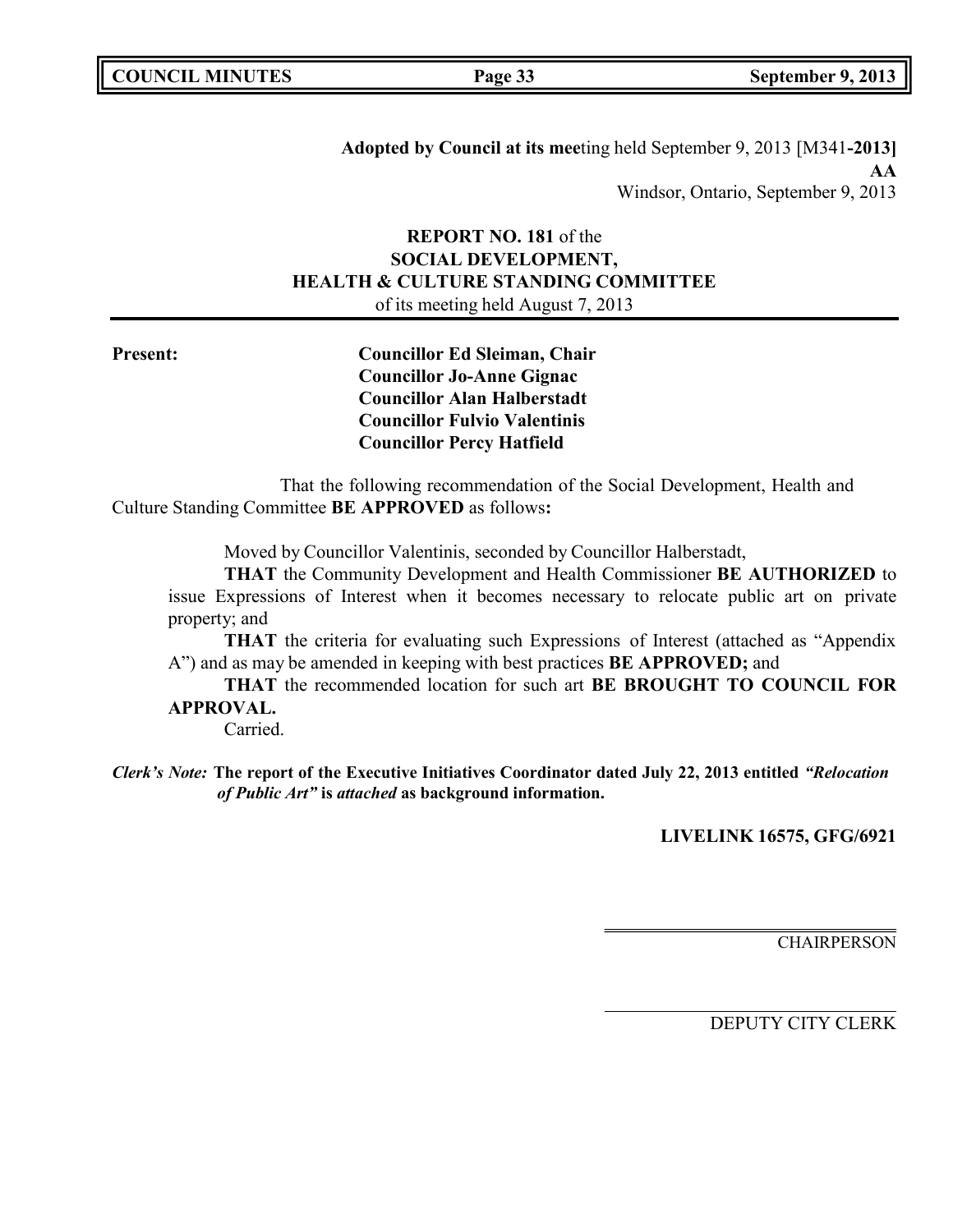**Adopted by Council at its mee**ting held September 9, 2013 [M341**-2013] AA** Windsor, Ontario, September 9, 2013

# **REPORT NO. 181** of the **SOCIAL DEVELOPMENT, HEALTH & CULTURE STANDING COMMITTEE** of its meeting held August 7, 2013

**Present: Councillor Ed Sleiman, Chair Councillor Jo-Anne Gignac Councillor Alan Halberstadt Councillor Fulvio Valentinis Councillor Percy Hatfield**

That the following recommendation of the Social Development, Health and Culture Standing Committee **BE APPROVED** as follows**:**

Moved by Councillor Valentinis, seconded by Councillor Halberstadt,

**THAT** the Community Development and Health Commissioner **BE AUTHORIZED** to issue Expressions of Interest when it becomes necessary to relocate public art on private property; and

**THAT** the criteria for evaluating such Expressions of Interest (attached as "Appendix A") and as may be amended in keeping with best practices **BE APPROVED;** and

**THAT** the recommended location for such art **BE BROUGHT TO COUNCIL FOR APPROVAL.**

Carried.

*Clerk's Note:* **The report of the Executive Initiatives Coordinator dated July 22, 2013 entitled** *"Relocation of Public Art"* **is** *attached* **as background information.**

**LIVELINK 16575, GFG/6921**

**CHAIRPERSON**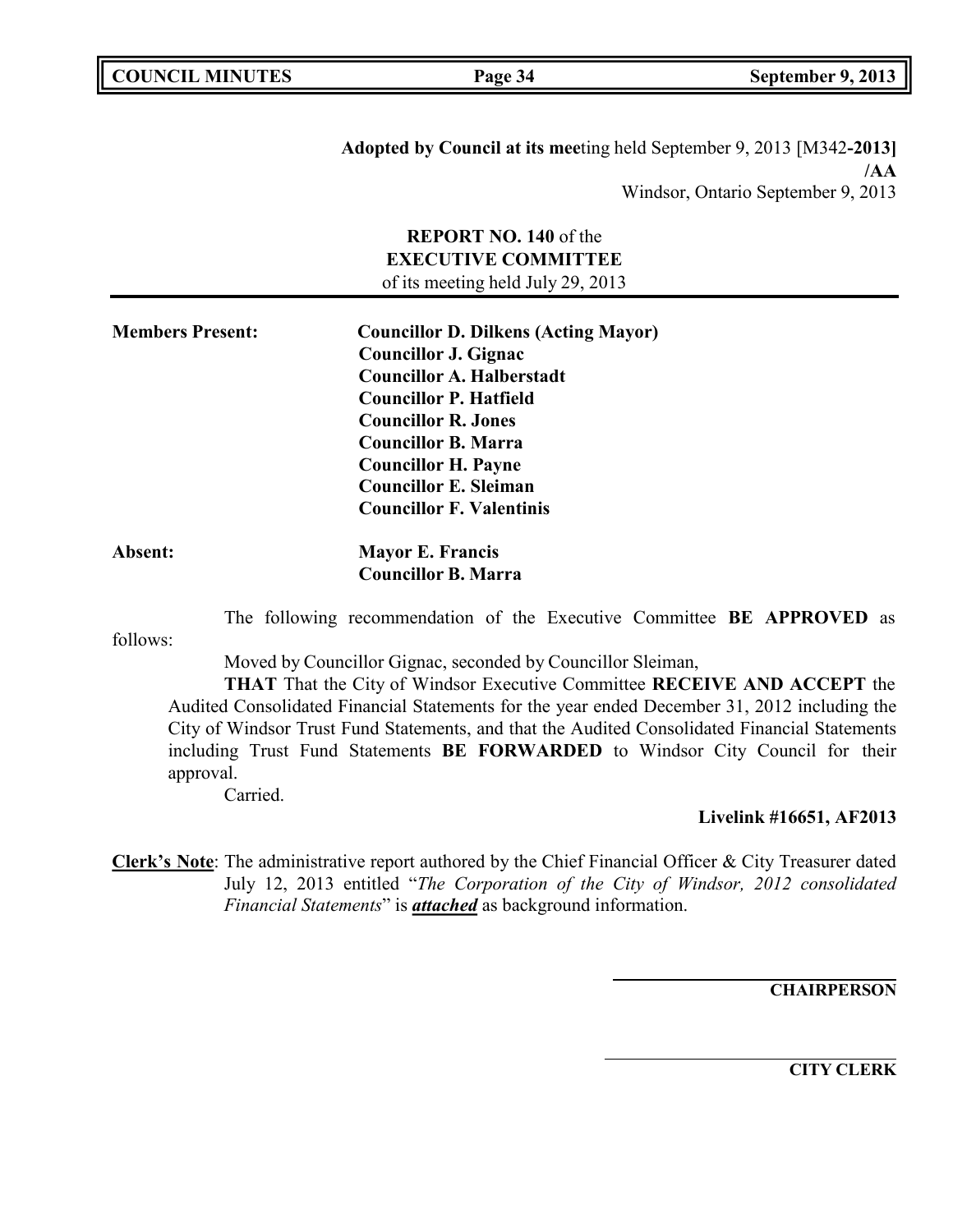**Adopted by Council at its mee**ting held September 9, 2013 [M342**-2013] /AA** Windsor, Ontario September 9, 2013

# **REPORT NO. 140** of the **EXECUTIVE COMMITTEE** of its meeting held July 29, 2013

| <b>Members Present:</b> | <b>Councillor D. Dilkens (Acting Mayor)</b> |
|-------------------------|---------------------------------------------|
|                         | <b>Councillor J. Gignac</b>                 |
|                         | <b>Councillor A. Halberstadt</b>            |
|                         | <b>Councillor P. Hatfield</b>               |
|                         | <b>Councillor R. Jones</b>                  |
|                         | <b>Councillor B. Marra</b>                  |
|                         | <b>Councillor H. Payne</b>                  |
|                         | <b>Councillor E. Sleiman</b>                |
|                         | <b>Councillor F. Valentinis</b>             |
|                         |                                             |

| Absent: | <b>Mayor E. Francis</b>    |
|---------|----------------------------|
|         | <b>Councillor B. Marra</b> |

The following recommendation of the Executive Committee **BE APPROVED** as

follows:

Moved by Councillor Gignac, seconded by Councillor Sleiman,

**THAT** That the City of Windsor Executive Committee **RECEIVE AND ACCEPT** the Audited Consolidated Financial Statements for the year ended December 31, 2012 including the City of Windsor Trust Fund Statements, and that the Audited Consolidated Financial Statements including Trust Fund Statements **BE FORWARDED** to Windsor City Council for their approval.

Carried.

**Livelink #16651, AF2013**

**Clerk's Note**: The administrative report authored by the Chief Financial Officer & City Treasurer dated July 12, 2013 entitled "*The Corporation of the City of Windsor, 2012 consolidated Financial Statements*" is *attached* as background information.

**CHAIRPERSON**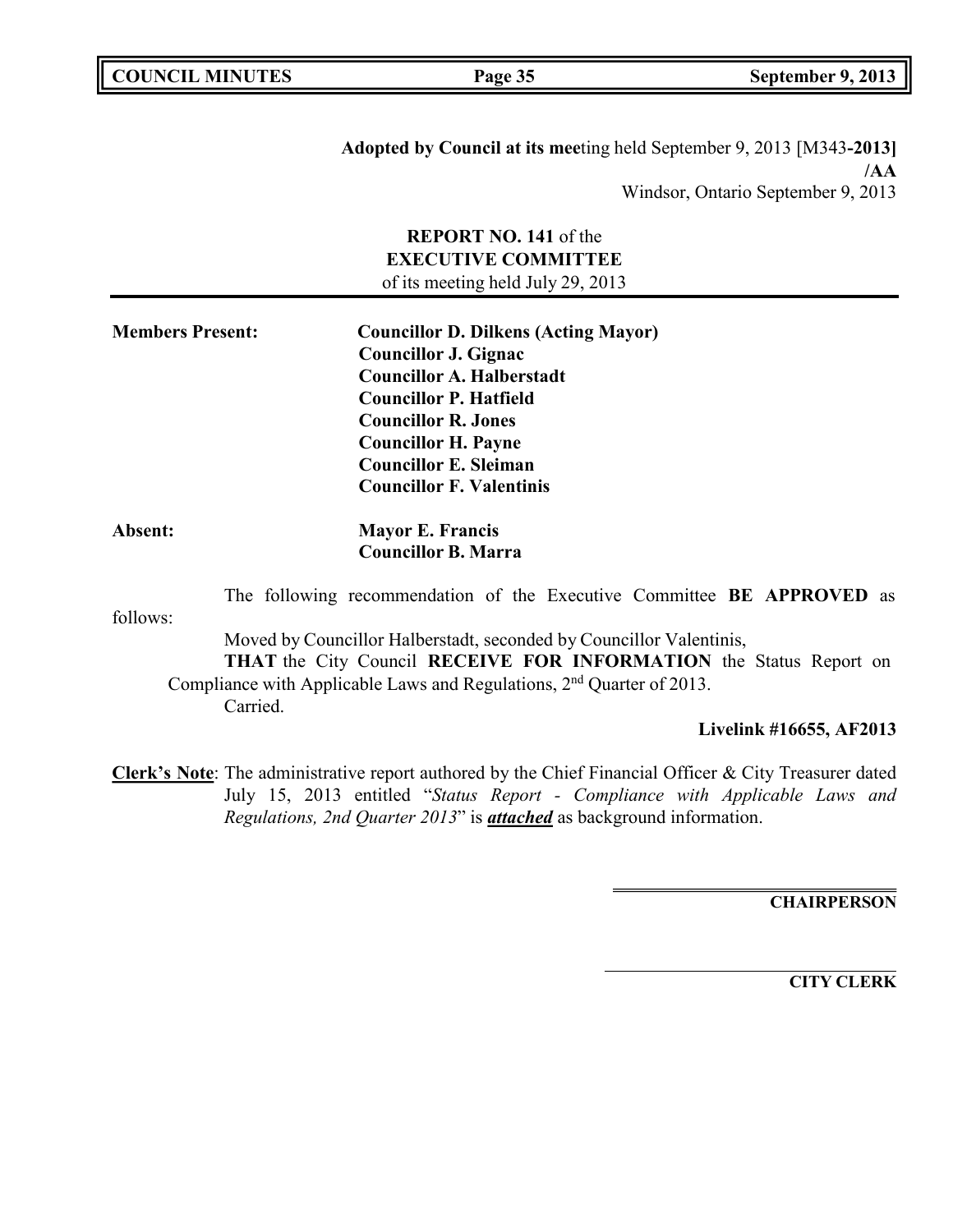**Adopted by Council at its mee**ting held September 9, 2013 [M343**-2013] /AA** Windsor, Ontario September 9, 2013

# **REPORT NO. 141** of the **EXECUTIVE COMMITTEE** of its meeting held July 29, 2013

| <b>Members Present:</b> | <b>Councillor D. Dilkens (Acting Mayor)</b> |
|-------------------------|---------------------------------------------|
|                         | <b>Councillor J. Gignac</b>                 |
|                         | <b>Councillor A. Halberstadt</b>            |
|                         | <b>Councillor P. Hatfield</b>               |
|                         | <b>Councillor R. Jones</b>                  |
|                         | <b>Councillor H. Payne</b>                  |
|                         | <b>Councillor E. Sleiman</b>                |
|                         | <b>Councillor F. Valentinis</b>             |
|                         |                                             |

# **Absent: Mayor E. Francis Councillor B. Marra**

follows: The following recommendation of the Executive Committee **BE APPROVED** as Moved by Councillor Halberstadt, seconded by Councillor Valentinis, **THAT** the City Council **RECEIVE FOR INFORMATION** the Status Report on Compliance with Applicable Laws and Regulations, 2<sup>nd</sup> Quarter of 2013.

Carried.

**Livelink #16655, AF2013**

**Clerk's Note**: The administrative report authored by the Chief Financial Officer & City Treasurer dated July 15, 2013 entitled "*Status Report - Compliance with Applicable Laws and Regulations, 2nd Quarter 2013*" is *attached* as background information.

**CHAIRPERSON**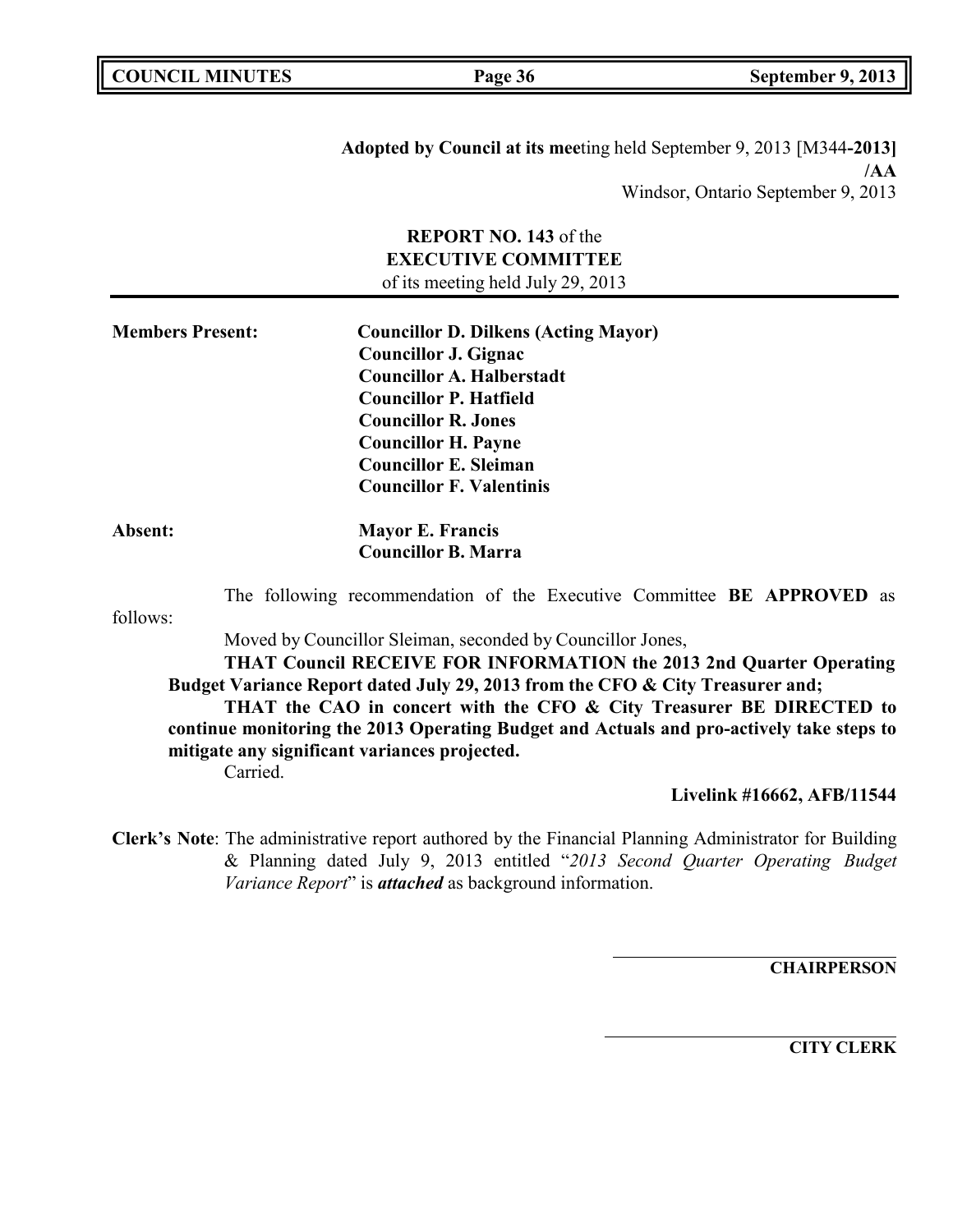**Adopted by Council at its mee**ting held September 9, 2013 [M344**-2013] /AA** Windsor, Ontario September 9, 2013

# **REPORT NO. 143** of the **EXECUTIVE COMMITTEE** of its meeting held July 29, 2013

| <b>Members Present:</b> | <b>Councillor D. Dilkens (Acting Mayor)</b> |
|-------------------------|---------------------------------------------|
|                         | <b>Councillor J. Gignac</b>                 |
|                         | <b>Councillor A. Halberstadt</b>            |
|                         | <b>Councillor P. Hatfield</b>               |
|                         | <b>Councillor R. Jones</b>                  |
|                         | <b>Councillor H. Payne</b>                  |
|                         | <b>Councillor E. Sleiman</b>                |
|                         | <b>Councillor F. Valentinis</b>             |
| Absent:                 | <b>Mayor E. Francis</b>                     |
|                         | <b>Councillor B. Marra</b>                  |

The following recommendation of the Executive Committee **BE APPROVED** as

follows:

Moved by Councillor Sleiman, seconded by Councillor Jones,

**THAT Council RECEIVE FOR INFORMATION the 2013 2nd Quarter Operating Budget Variance Report dated July 29, 2013 from the CFO & City Treasurer and;**

**THAT the CAO in concert with the CFO & City Treasurer BE DIRECTED to continue monitoring the 2013 Operating Budget and Actuals and pro-actively take steps to mitigate any significant variances projected.** Carried.

**Livelink #16662, AFB/11544**

**Clerk's Note**: The administrative report authored by the Financial Planning Administrator for Building & Planning dated July 9, 2013 entitled "*2013 Second Quarter Operating Budget Variance Report*" is *attached* as background information.

**CHAIRPERSON**